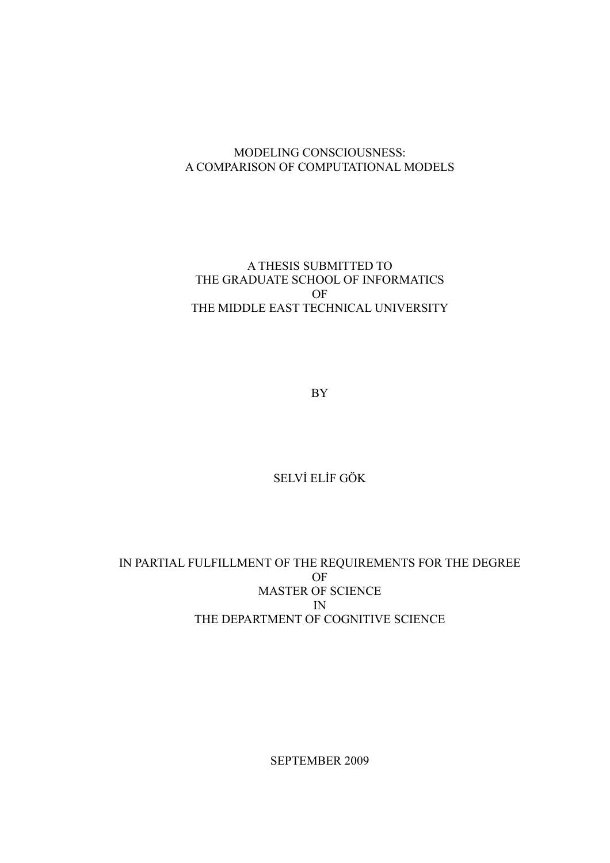### MODELING CONSCIOUSNESS: A COMPARISON OF COMPUTATIONAL MODELS

### A THESIS SUBMITTED TO THE GRADUATE SCHOOL OF INFORMATICS OF THE MIDDLE EAST TECHNICAL UNIVERSITY

BY

### SELVİ ELİF GÖK

### IN PARTIAL FULFILLMENT OF THE REQUIREMENTS FOR THE DEGREE OF MASTER OF SCIENCE IN THE DEPARTMENT OF COGNITIVE SCIENCE

SEPTEMBER 2009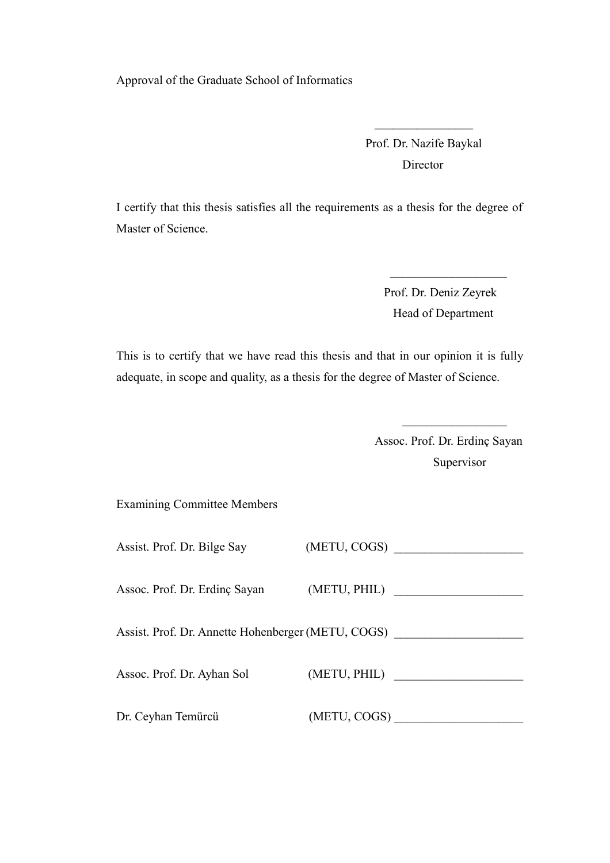Approval of the Graduate School of Informatics

 Prof. Dr. Nazife Baykal Director

I certify that this thesis satisfies all the requirements as a thesis for the degree of Master of Science.

 $\mathcal{L}_\mathcal{L} = \{ \mathcal{L}_\mathcal{L} \mid \mathcal{L}_\mathcal{L} \}$  , where  $\mathcal{L}_\mathcal{L} = \{ \mathcal{L}_\mathcal{L} \mid \mathcal{L}_\mathcal{L} \}$ 

 $\mathcal{L}_\text{max}$  and  $\mathcal{L}_\text{max}$  are the set of  $\mathcal{L}_\text{max}$  . The set of  $\mathcal{L}_\text{max}$ 

 Prof. Dr. Deniz Zeyrek Head of Department

This is to certify that we have read this thesis and that in our opinion it is fully adequate, in scope and quality, as a thesis for the degree of Master of Science.

 $\mathcal{L}_\text{max}$  and  $\mathcal{L}_\text{max}$  are the set of the set of the set of the set of the set of the set of the set of the set of the set of the set of the set of the set of the set of the set of the set of the set of the set o

 Assoc. Prof. Dr. Erdinç Sayan Supervisor

Examining Committee Members

| Assist. Prof. Dr. Bilge Say                        | (METU, COGS) |
|----------------------------------------------------|--------------|
| Assoc. Prof. Dr. Erdinç Sayan                      | (METU, PHIL) |
| Assist. Prof. Dr. Annette Hohenberger (METU, COGS) |              |
| Assoc. Prof. Dr. Ayhan Sol                         | (METU, PHIL) |
| Dr. Ceyhan Temürcü                                 | (METU, COGS) |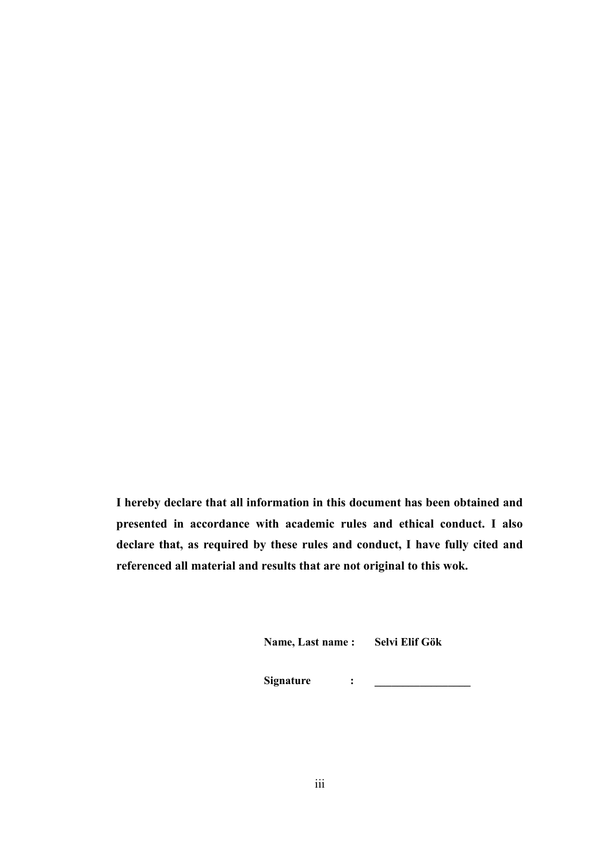**I hereby declare that all information in this document has been obtained and presented in accordance with academic rules and ethical conduct. I also declare that, as required by these rules and conduct, I have fully cited and referenced all material and results that are not original to this wok.**

**Name, Last name : Selvi Elif Gök**

**Signature** : <u>\_\_\_\_\_\_\_\_\_</u>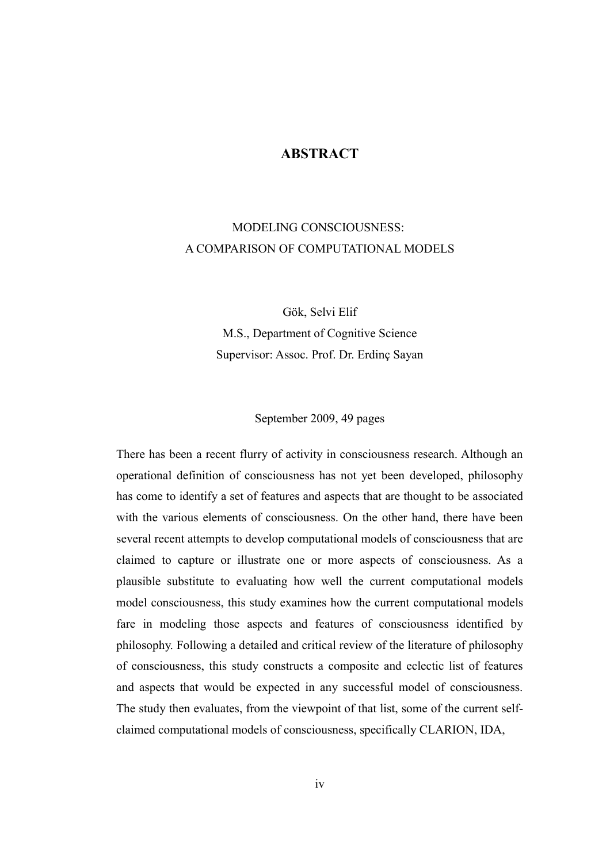### **ABSTRACT**

# MODELING CONSCIOUSNESS: A COMPARISON OF COMPUTATIONAL MODELS

Gök, Selvi Elif M.S., Department of Cognitive Science Supervisor: Assoc. Prof. Dr. Erdinç Sayan

September 2009, 49 pages

There has been a recent flurry of activity in consciousness research. Although an operational definition of consciousness has not yet been developed, philosophy has come to identify a set of features and aspects that are thought to be associated with the various elements of consciousness. On the other hand, there have been several recent attempts to develop computational models of consciousness that are claimed to capture or illustrate one or more aspects of consciousness. As a plausible substitute to evaluating how well the current computational models model consciousness, this study examines how the current computational models fare in modeling those aspects and features of consciousness identified by philosophy. Following a detailed and critical review of the literature of philosophy of consciousness, this study constructs a composite and eclectic list of features and aspects that would be expected in any successful model of consciousness. The study then evaluates, from the viewpoint of that list, some of the current selfclaimed computational models of consciousness, specifically CLARION, IDA,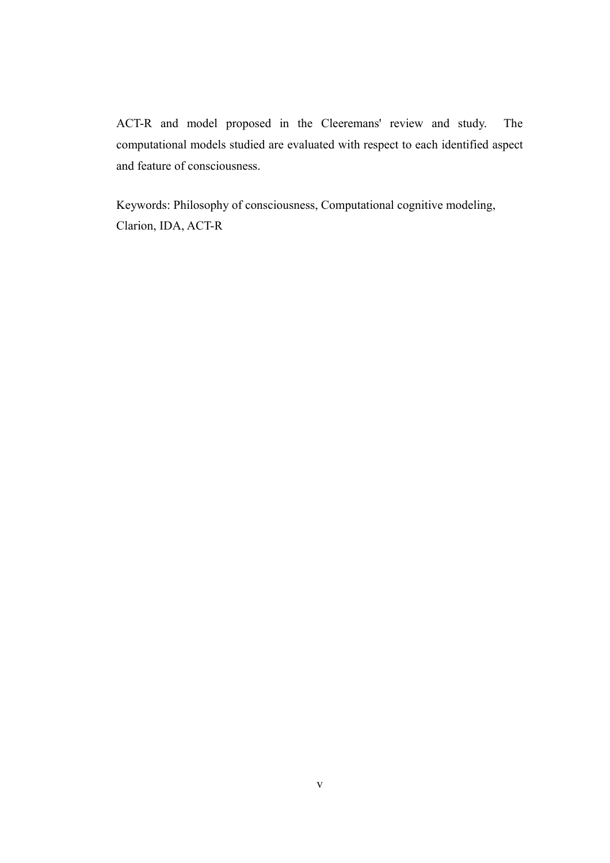ACT-R and model proposed in the Cleeremans' review and study. The computational models studied are evaluated with respect to each identified aspect and feature of consciousness.

Keywords: Philosophy of consciousness, Computational cognitive modeling, Clarion, IDA, ACT-R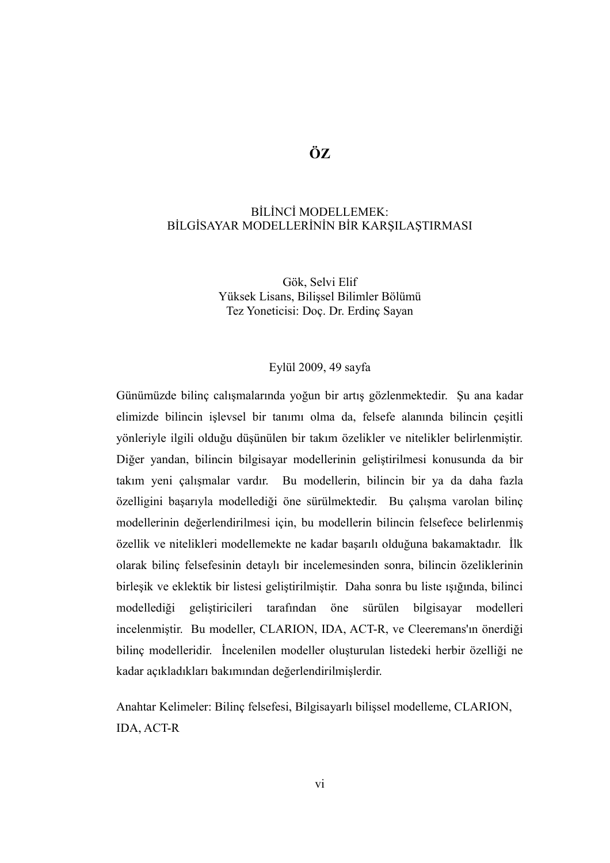## **ÖZ**

### BİLİNCİ MODELLEMEK: BİLGİSAYAR MODELLERİNİN BİR KARŞILAŞTIRMASI

Gök, Selvi Elif Yüksek Lisans, Bilişsel Bilimler Bölümü Tez Yoneticisi: Doç. Dr. Erdinç Sayan

#### Eylül 2009, 49 sayfa

Günümüzde bilinç calışmalarında yoğun bir artış gözlenmektedir. Şu ana kadar elimizde bilincin işlevsel bir tanımı olma da, felsefe alanında bilincin çeşitli yönleriyle ilgili olduğu düşünülen bir takım özelikler ve nitelikler belirlenmiştir. Diğer yandan, bilincin bilgisayar modellerinin geliştirilmesi konusunda da bir takım yeni çalışmalar vardır. Bu modellerin, bilincin bir ya da daha fazla özelligini başarıyla modellediği öne sürülmektedir. Bu çalışma varolan bilinç modellerinin değerlendirilmesi için, bu modellerin bilincin felsefece belirlenmiş özellik ve nitelikleri modellemekte ne kadar başarılı olduğuna bakamaktadır. İlk olarak bilinç felsefesinin detaylı bir incelemesinden sonra, bilincin özeliklerinin birleşik ve eklektik bir listesi geliştirilmiştir. Daha sonra bu liste ışığında, bilinci modellediği geliştiricileri tarafından öne sürülen bilgisayar modelleri incelenmiştir. Bu modeller, CLARION, IDA, ACT-R, ve Cleeremans'ın önerdiği bilinç modelleridir. İncelenilen modeller oluşturulan listedeki herbir özelliği ne kadar açıkladıkları bakımından değerlendirilmişlerdir.

Anahtar Kelimeler: Bilinç felsefesi, Bilgisayarlı bilişsel modelleme, CLARION, IDA, ACT-R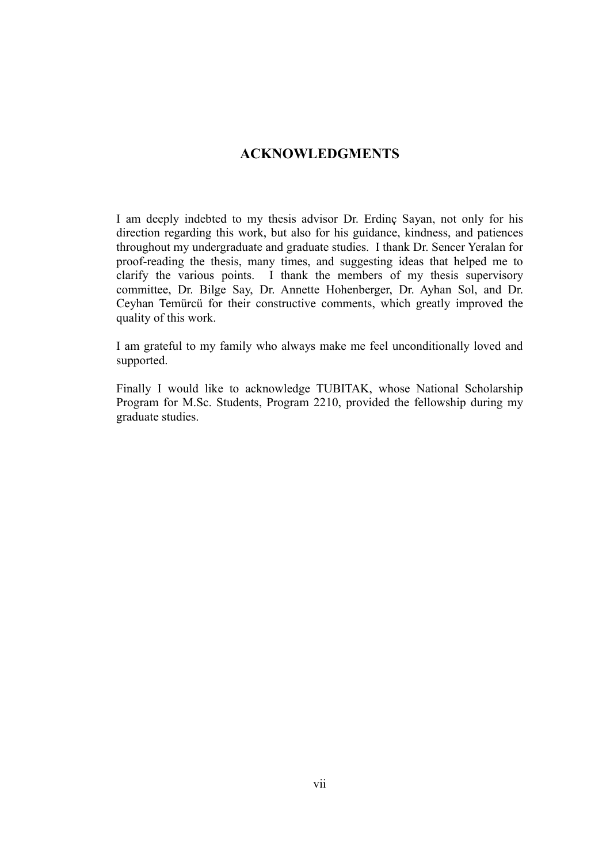### **ACKNOWLEDGMENTS**

I am deeply indebted to my thesis advisor Dr. Erdinç Sayan, not only for his direction regarding this work, but also for his guidance, kindness, and patiences throughout my undergraduate and graduate studies. I thank Dr. Sencer Yeralan for proof-reading the thesis, many times, and suggesting ideas that helped me to clarify the various points. I thank the members of my thesis supervisory committee, Dr. Bilge Say, Dr. Annette Hohenberger, Dr. Ayhan Sol, and Dr. Ceyhan Temürcü for their constructive comments, which greatly improved the quality of this work.

I am grateful to my family who always make me feel unconditionally loved and supported.

Finally I would like to acknowledge TUBITAK, whose National Scholarship Program for M.Sc. Students, Program 2210, provided the fellowship during my graduate studies.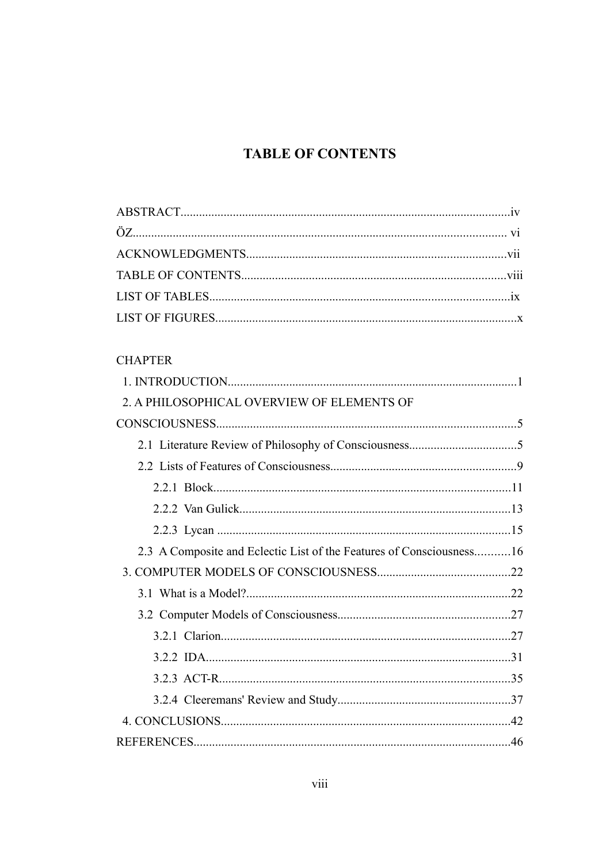# **TABLE OF CONTENTS**

# **CHAPTER**

| 2. A PHILOSOPHICAL OVERVIEW OF ELEMENTS OF                           |  |
|----------------------------------------------------------------------|--|
|                                                                      |  |
|                                                                      |  |
|                                                                      |  |
|                                                                      |  |
|                                                                      |  |
|                                                                      |  |
| 2.3 A Composite and Eclectic List of the Features of Consciousness16 |  |
|                                                                      |  |
|                                                                      |  |
|                                                                      |  |
|                                                                      |  |
|                                                                      |  |
|                                                                      |  |
|                                                                      |  |
|                                                                      |  |
|                                                                      |  |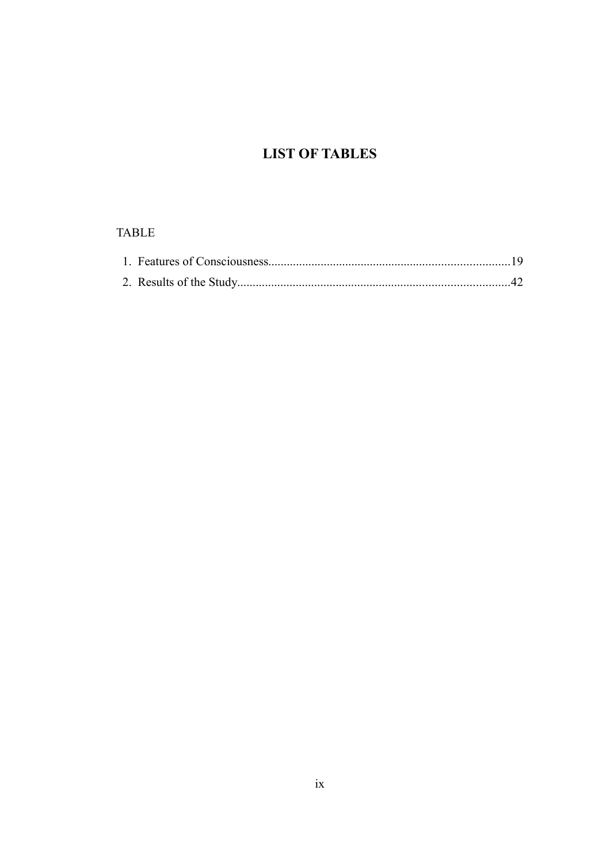# **LIST OF TABLES**

### **TABLE**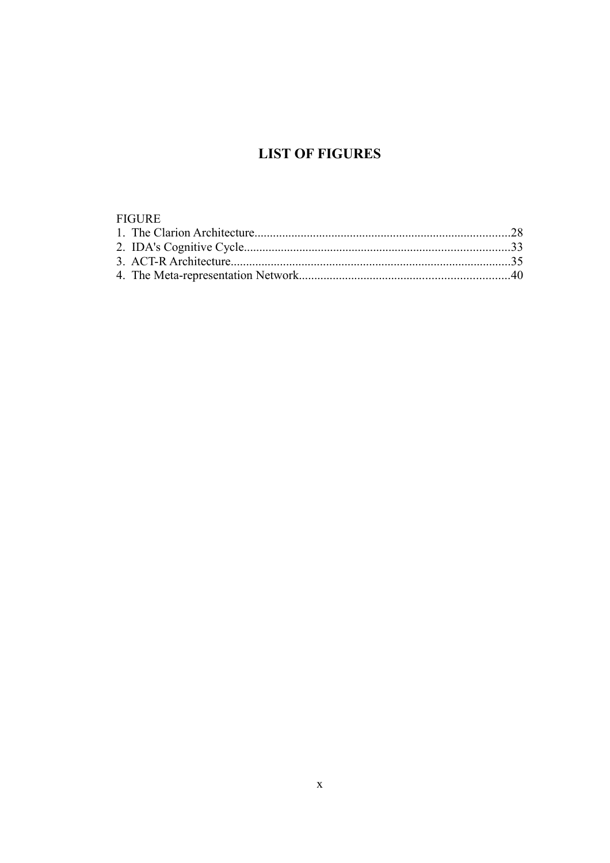# **LIST OF FIGURES**

#### **FIGURE**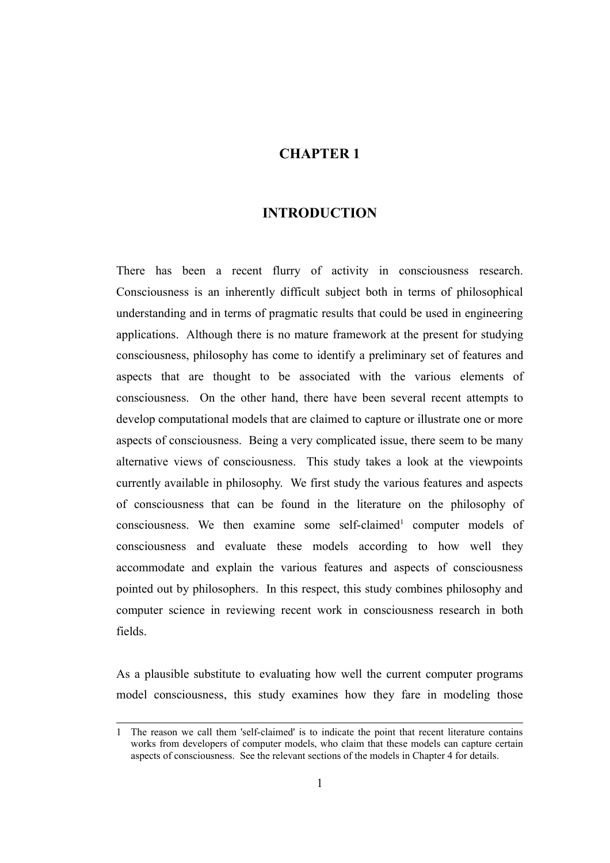### **CHAPTER 1**

### **INTRODUCTION**

There has been a recent flurry of activity in consciousness research. Consciousness is an inherently difficult subject both in terms of philosophical understanding and in terms of pragmatic results that could be used in engineering applications. Although there is no mature framework at the present for studying consciousness, philosophy has come to identify a preliminary set of features and aspects that are thought to be associated with the various elements of consciousness. On the other hand, there have been several recent attempts to develop computational models that are claimed to capture or illustrate one or more aspects of consciousness. Being a very complicated issue, there seem to be many alternative views of consciousness. This study takes a look at the viewpoints currently available in philosophy. We first study the various features and aspects of consciousness that can be found in the literature on the philosophy of consciousness. We then examine some self-claimed<sup>[1](#page-10-0)</sup> computer models of consciousness and evaluate these models according to how well they accommodate and explain the various features and aspects of consciousness pointed out by philosophers. In this respect, this study combines philosophy and computer science in reviewing recent work in consciousness research in both fields.

As a plausible substitute to evaluating how well the current computer programs model consciousness, this study examines how they fare in modeling those

<span id="page-10-0"></span><sup>1</sup> The reason we call them 'self-claimed' is to indicate the point that recent literature contains works from developers of computer models, who claim that these models can capture certain aspects of consciousness. See the relevant sections of the models in Chapter 4 for details.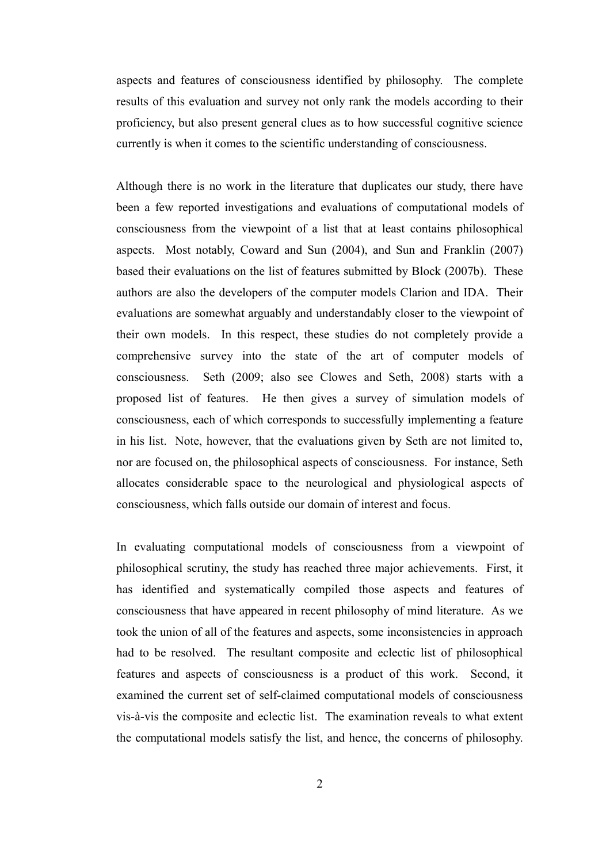aspects and features of consciousness identified by philosophy. The complete results of this evaluation and survey not only rank the models according to their proficiency, but also present general clues as to how successful cognitive science currently is when it comes to the scientific understanding of consciousness.

Although there is no work in the literature that duplicates our study, there have been a few reported investigations and evaluations of computational models of consciousness from the viewpoint of a list that at least contains philosophical aspects. Most notably, Coward and Sun (2004), and Sun and Franklin (2007) based their evaluations on the list of features submitted by Block (2007b). These authors are also the developers of the computer models Clarion and IDA. Their evaluations are somewhat arguably and understandably closer to the viewpoint of their own models. In this respect, these studies do not completely provide a comprehensive survey into the state of the art of computer models of consciousness. Seth (2009; also see Clowes and Seth, 2008) starts with a proposed list of features. He then gives a survey of simulation models of consciousness, each of which corresponds to successfully implementing a feature in his list. Note, however, that the evaluations given by Seth are not limited to, nor are focused on, the philosophical aspects of consciousness. For instance, Seth allocates considerable space to the neurological and physiological aspects of consciousness, which falls outside our domain of interest and focus.

In evaluating computational models of consciousness from a viewpoint of philosophical scrutiny, the study has reached three major achievements. First, it has identified and systematically compiled those aspects and features of consciousness that have appeared in recent philosophy of mind literature. As we took the union of all of the features and aspects, some inconsistencies in approach had to be resolved. The resultant composite and eclectic list of philosophical features and aspects of consciousness is a product of this work. Second, it examined the current set of self-claimed computational models of consciousness vis-à-vis the composite and eclectic list. The examination reveals to what extent the computational models satisfy the list, and hence, the concerns of philosophy.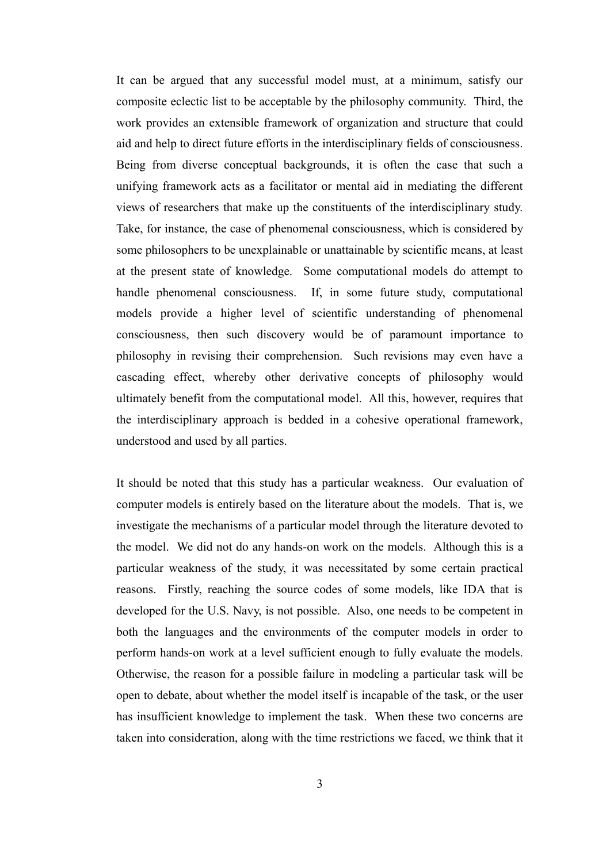It can be argued that any successful model must, at a minimum, satisfy our composite eclectic list to be acceptable by the philosophy community. Third, the work provides an extensible framework of organization and structure that could aid and help to direct future efforts in the interdisciplinary fields of consciousness. Being from diverse conceptual backgrounds, it is often the case that such a unifying framework acts as a facilitator or mental aid in mediating the different views of researchers that make up the constituents of the interdisciplinary study. Take, for instance, the case of phenomenal consciousness, which is considered by some philosophers to be unexplainable or unattainable by scientific means, at least at the present state of knowledge. Some computational models do attempt to handle phenomenal consciousness. If, in some future study, computational models provide a higher level of scientific understanding of phenomenal consciousness, then such discovery would be of paramount importance to philosophy in revising their comprehension. Such revisions may even have a cascading effect, whereby other derivative concepts of philosophy would ultimately benefit from the computational model. All this, however, requires that the interdisciplinary approach is bedded in a cohesive operational framework, understood and used by all parties.

It should be noted that this study has a particular weakness. Our evaluation of computer models is entirely based on the literature about the models. That is, we investigate the mechanisms of a particular model through the literature devoted to the model. We did not do any hands-on work on the models. Although this is a particular weakness of the study, it was necessitated by some certain practical reasons. Firstly, reaching the source codes of some models, like IDA that is developed for the U.S. Navy, is not possible. Also, one needs to be competent in both the languages and the environments of the computer models in order to perform hands-on work at a level sufficient enough to fully evaluate the models. Otherwise, the reason for a possible failure in modeling a particular task will be open to debate, about whether the model itself is incapable of the task, or the user has insufficient knowledge to implement the task. When these two concerns are taken into consideration, along with the time restrictions we faced, we think that it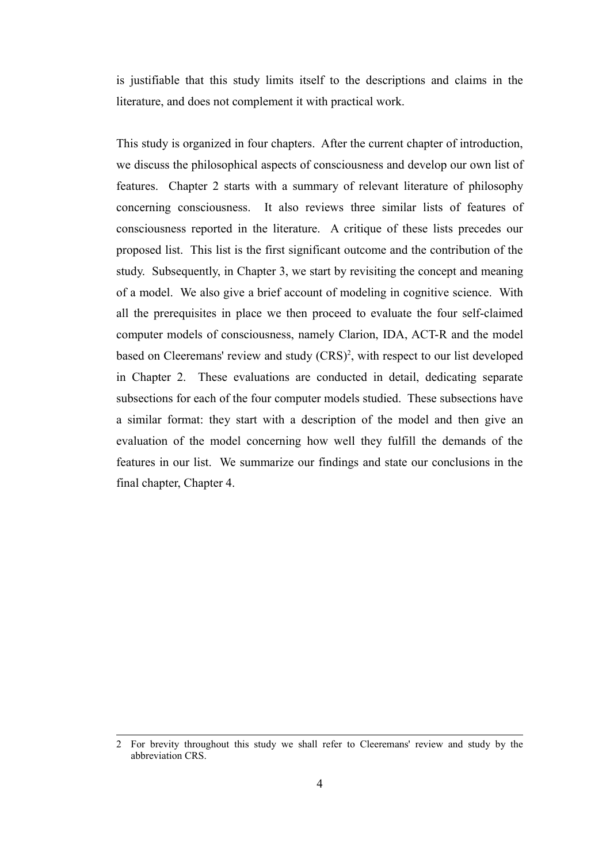is justifiable that this study limits itself to the descriptions and claims in the literature, and does not complement it with practical work.

This study is organized in four chapters. After the current chapter of introduction, we discuss the philosophical aspects of consciousness and develop our own list of features. Chapter 2 starts with a summary of relevant literature of philosophy concerning consciousness. It also reviews three similar lists of features of consciousness reported in the literature. A critique of these lists precedes our proposed list. This list is the first significant outcome and the contribution of the study. Subsequently, in Chapter 3, we start by revisiting the concept and meaning of a model. We also give a brief account of modeling in cognitive science. With all the prerequisites in place we then proceed to evaluate the four self-claimed computer models of consciousness, namely Clarion, IDA, ACT-R and the model based on Cleeremans' review and study (CRS)<sup>[2](#page-13-0)</sup>, with respect to our list developed in Chapter 2. These evaluations are conducted in detail, dedicating separate subsections for each of the four computer models studied. These subsections have a similar format: they start with a description of the model and then give an evaluation of the model concerning how well they fulfill the demands of the features in our list. We summarize our findings and state our conclusions in the final chapter, Chapter 4.

<span id="page-13-0"></span><sup>2</sup> For brevity throughout this study we shall refer to Cleeremans' review and study by the abbreviation CRS.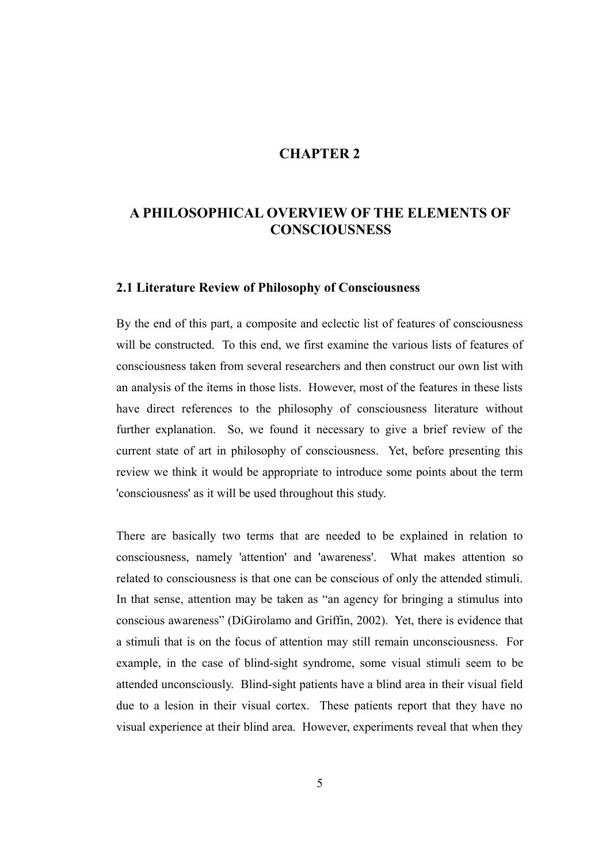### **CHAPTER 2**

# **A PHILOSOPHICAL OVERVIEW OF THE ELEMENTS OF CONSCIOUSNESS**

#### **2.1 Literature Review of Philosophy of Consciousness**

By the end of this part, a composite and eclectic list of features of consciousness will be constructed. To this end, we first examine the various lists of features of consciousness taken from several researchers and then construct our own list with an analysis of the items in those lists. However, most of the features in these lists have direct references to the philosophy of consciousness literature without further explanation. So, we found it necessary to give a brief review of the current state of art in philosophy of consciousness. Yet, before presenting this review we think it would be appropriate to introduce some points about the term 'consciousness' as it will be used throughout this study.

There are basically two terms that are needed to be explained in relation to consciousness, namely 'attention' and 'awareness'. What makes attention so related to consciousness is that one can be conscious of only the attended stimuli. In that sense, attention may be taken as "an agency for bringing a stimulus into conscious awareness" (DiGirolamo and Griffin, 2002). Yet, there is evidence that a stimuli that is on the focus of attention may still remain unconsciousness. For example, in the case of blind-sight syndrome, some visual stimuli seem to be attended unconsciously. Blind-sight patients have a blind area in their visual field due to a lesion in their visual cortex. These patients report that they have no visual experience at their blind area. However, experiments reveal that when they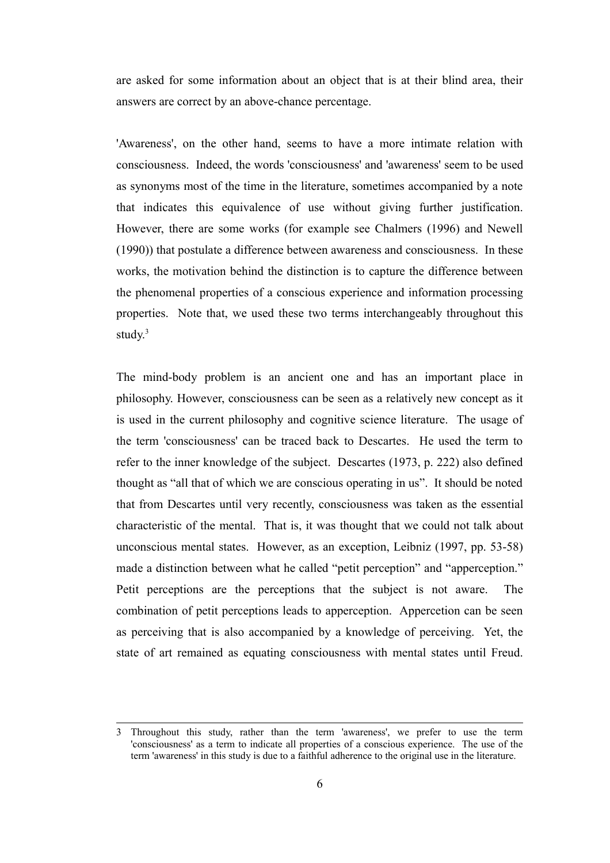are asked for some information about an object that is at their blind area, their answers are correct by an above-chance percentage.

'Awareness', on the other hand, seems to have a more intimate relation with consciousness. Indeed, the words 'consciousness' and 'awareness' seem to be used as synonyms most of the time in the literature, sometimes accompanied by a note that indicates this equivalence of use without giving further justification. However, there are some works (for example see Chalmers (1996) and Newell (1990)) that postulate a difference between awareness and consciousness. In these works, the motivation behind the distinction is to capture the difference between the phenomenal properties of a conscious experience and information processing properties. Note that, we used these two terms interchangeably throughout this study. $3$ 

The mind-body problem is an ancient one and has an important place in philosophy. However, consciousness can be seen as a relatively new concept as it is used in the current philosophy and cognitive science literature. The usage of the term 'consciousness' can be traced back to Descartes. He used the term to refer to the inner knowledge of the subject. Descartes (1973, p. 222) also defined thought as "all that of which we are conscious operating in us". It should be noted that from Descartes until very recently, consciousness was taken as the essential characteristic of the mental. That is, it was thought that we could not talk about unconscious mental states. However, as an exception, Leibniz (1997, pp. 53-58) made a distinction between what he called "petit perception" and "apperception." Petit perceptions are the perceptions that the subject is not aware. The combination of petit perceptions leads to apperception. Appercetion can be seen as perceiving that is also accompanied by a knowledge of perceiving. Yet, the state of art remained as equating consciousness with mental states until Freud.

<span id="page-15-0"></span><sup>3</sup> Throughout this study, rather than the term 'awareness', we prefer to use the term 'consciousness' as a term to indicate all properties of a conscious experience. The use of the term 'awareness' in this study is due to a faithful adherence to the original use in the literature.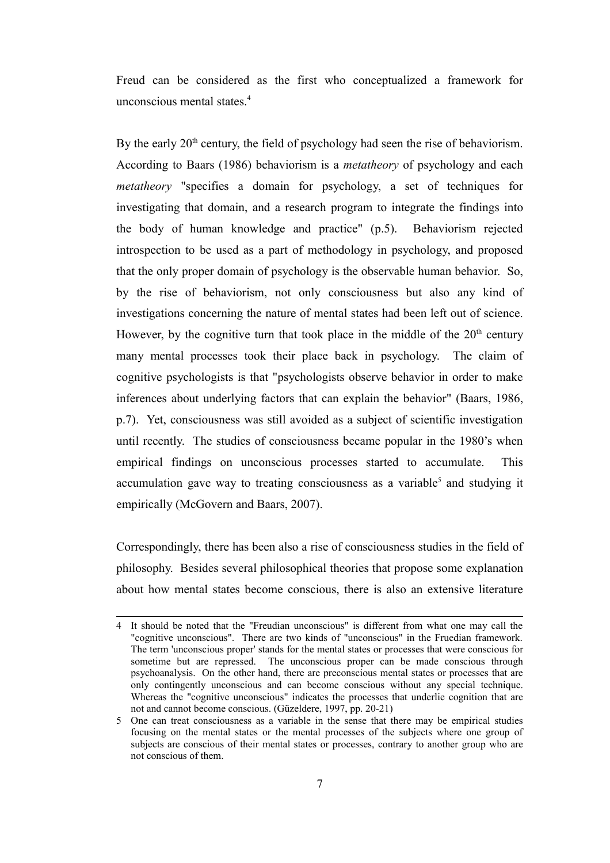Freud can be considered as the first who conceptualized a framework for unconscious mental states.<sup>[4](#page-16-0)</sup>

By the early  $20<sup>th</sup>$  century, the field of psychology had seen the rise of behaviorism. According to Baars (1986) behaviorism is a *metatheory* of psychology and each *metatheory* "specifies a domain for psychology, a set of techniques for investigating that domain, and a research program to integrate the findings into the body of human knowledge and practice" (p.5). Behaviorism rejected introspection to be used as a part of methodology in psychology, and proposed that the only proper domain of psychology is the observable human behavior. So, by the rise of behaviorism, not only consciousness but also any kind of investigations concerning the nature of mental states had been left out of science. However, by the cognitive turn that took place in the middle of the  $20<sup>th</sup>$  century many mental processes took their place back in psychology. The claim of cognitive psychologists is that "psychologists observe behavior in order to make inferences about underlying factors that can explain the behavior" (Baars, 1986, p.7). Yet, consciousness was still avoided as a subject of scientific investigation until recently. The studies of consciousness became popular in the 1980's when empirical findings on unconscious processes started to accumulate. This accumulation gave way to treating consciousness as a variable<sup>[5](#page-16-1)</sup> and studying it empirically (McGovern and Baars, 2007).

Correspondingly, there has been also a rise of consciousness studies in the field of philosophy. Besides several philosophical theories that propose some explanation about how mental states become conscious, there is also an extensive literature

<span id="page-16-0"></span><sup>4</sup> It should be noted that the "Freudian unconscious" is different from what one may call the "cognitive unconscious". There are two kinds of "unconscious" in the Fruedian framework. The term 'unconscious proper' stands for the mental states or processes that were conscious for sometime but are repressed. The unconscious proper can be made conscious through psychoanalysis. On the other hand, there are preconscious mental states or processes that are only contingently unconscious and can become conscious without any special technique. Whereas the "cognitive unconscious" indicates the processes that underlie cognition that are not and cannot become conscious. (Güzeldere, 1997, pp. 20-21)

<span id="page-16-1"></span><sup>5</sup> One can treat consciousness as a variable in the sense that there may be empirical studies focusing on the mental states or the mental processes of the subjects where one group of subjects are conscious of their mental states or processes, contrary to another group who are not conscious of them.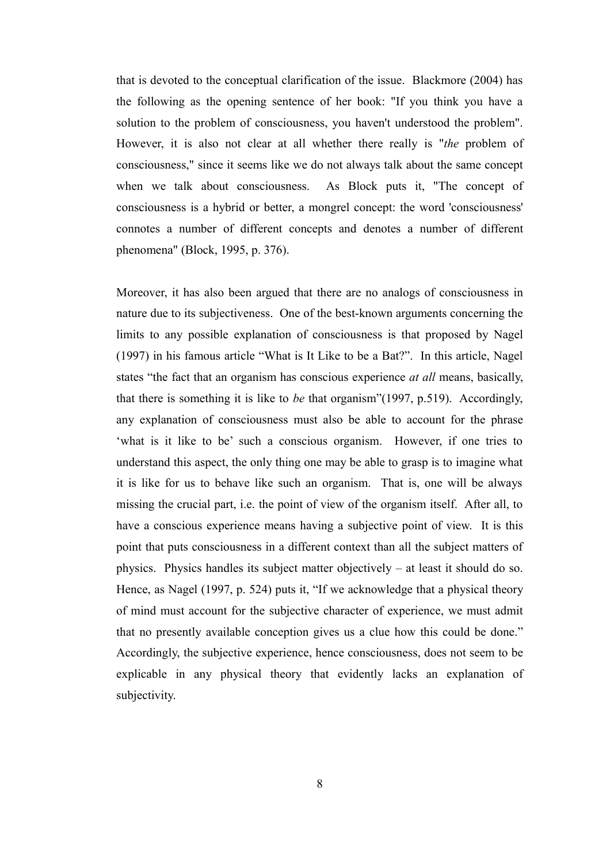that is devoted to the conceptual clarification of the issue. Blackmore (2004) has the following as the opening sentence of her book: "If you think you have a solution to the problem of consciousness, you haven't understood the problem". However, it is also not clear at all whether there really is "*the* problem of consciousness," since it seems like we do not always talk about the same concept when we talk about consciousness. As Block puts it, "The concept of consciousness is a hybrid or better, a mongrel concept: the word 'consciousness' connotes a number of different concepts and denotes a number of different phenomena" (Block, 1995, p. 376).

Moreover, it has also been argued that there are no analogs of consciousness in nature due to its subjectiveness. One of the best-known arguments concerning the limits to any possible explanation of consciousness is that proposed by Nagel (1997) in his famous article "What is It Like to be a Bat?". In this article, Nagel states "the fact that an organism has conscious experience *at all* means, basically, that there is something it is like to *be* that organism"(1997, p.519). Accordingly, any explanation of consciousness must also be able to account for the phrase 'what is it like to be' such a conscious organism. However, if one tries to understand this aspect, the only thing one may be able to grasp is to imagine what it is like for us to behave like such an organism. That is, one will be always missing the crucial part, i.e. the point of view of the organism itself. After all, to have a conscious experience means having a subjective point of view. It is this point that puts consciousness in a different context than all the subject matters of physics. Physics handles its subject matter objectively – at least it should do so. Hence, as Nagel (1997, p. 524) puts it, "If we acknowledge that a physical theory of mind must account for the subjective character of experience, we must admit that no presently available conception gives us a clue how this could be done." Accordingly, the subjective experience, hence consciousness, does not seem to be explicable in any physical theory that evidently lacks an explanation of subjectivity.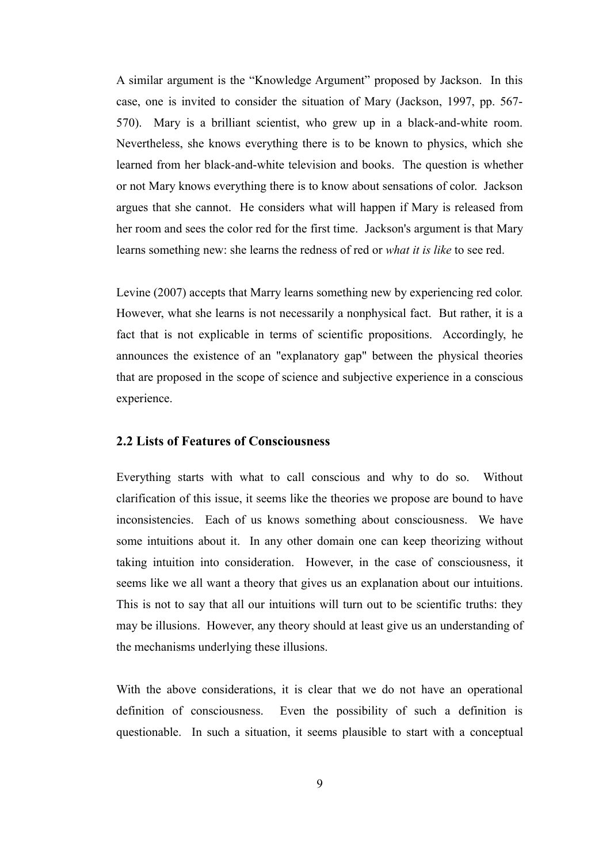A similar argument is the "Knowledge Argument" proposed by Jackson. In this case, one is invited to consider the situation of Mary (Jackson, 1997, pp. 567- 570). Mary is a brilliant scientist, who grew up in a black-and-white room. Nevertheless, she knows everything there is to be known to physics, which she learned from her black-and-white television and books. The question is whether or not Mary knows everything there is to know about sensations of color. Jackson argues that she cannot. He considers what will happen if Mary is released from her room and sees the color red for the first time. Jackson's argument is that Mary learns something new: she learns the redness of red or *what it is like* to see red.

Levine (2007) accepts that Marry learns something new by experiencing red color. However, what she learns is not necessarily a nonphysical fact. But rather, it is a fact that is not explicable in terms of scientific propositions. Accordingly, he announces the existence of an "explanatory gap" between the physical theories that are proposed in the scope of science and subjective experience in a conscious experience.

#### **2.2 Lists of Features of Consciousness**

Everything starts with what to call conscious and why to do so. Without clarification of this issue, it seems like the theories we propose are bound to have inconsistencies. Each of us knows something about consciousness. We have some intuitions about it. In any other domain one can keep theorizing without taking intuition into consideration. However, in the case of consciousness, it seems like we all want a theory that gives us an explanation about our intuitions. This is not to say that all our intuitions will turn out to be scientific truths: they may be illusions. However, any theory should at least give us an understanding of the mechanisms underlying these illusions.

With the above considerations, it is clear that we do not have an operational definition of consciousness. Even the possibility of such a definition is questionable. In such a situation, it seems plausible to start with a conceptual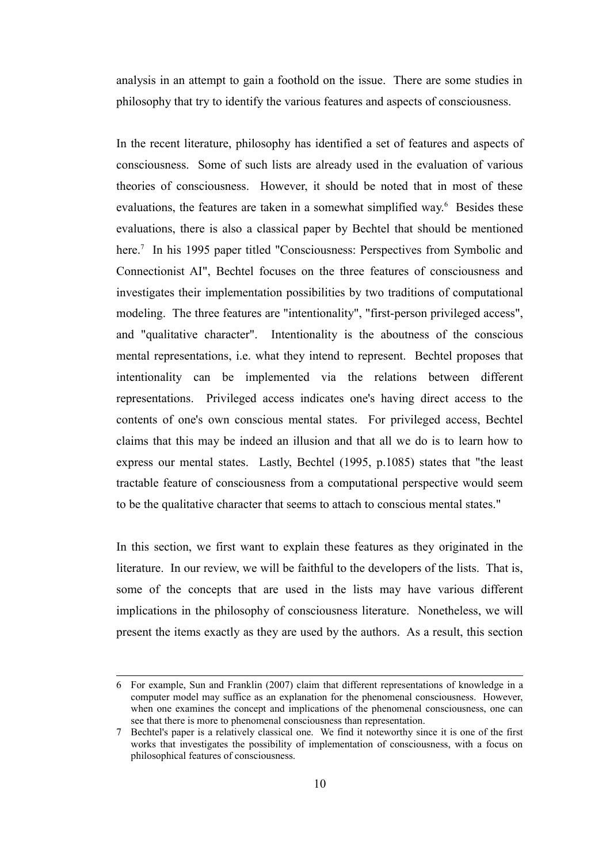analysis in an attempt to gain a foothold on the issue. There are some studies in philosophy that try to identify the various features and aspects of consciousness.

In the recent literature, philosophy has identified a set of features and aspects of consciousness. Some of such lists are already used in the evaluation of various theories of consciousness. However, it should be noted that in most of these evaluations, the features are taken in a somewhat simplified way.<sup>[6](#page-19-0)</sup> Besides these evaluations, there is also a classical paper by Bechtel that should be mentioned here.<sup>[7](#page-19-1)</sup> In his 1995 paper titled "Consciousness: Perspectives from Symbolic and Connectionist AI", Bechtel focuses on the three features of consciousness and investigates their implementation possibilities by two traditions of computational modeling. The three features are "intentionality", "first-person privileged access", and "qualitative character". Intentionality is the aboutness of the conscious mental representations, i.e. what they intend to represent. Bechtel proposes that intentionality can be implemented via the relations between different representations. Privileged access indicates one's having direct access to the contents of one's own conscious mental states. For privileged access, Bechtel claims that this may be indeed an illusion and that all we do is to learn how to express our mental states. Lastly, Bechtel (1995, p.1085) states that "the least tractable feature of consciousness from a computational perspective would seem to be the qualitative character that seems to attach to conscious mental states."

In this section, we first want to explain these features as they originated in the literature. In our review, we will be faithful to the developers of the lists. That is, some of the concepts that are used in the lists may have various different implications in the philosophy of consciousness literature. Nonetheless, we will present the items exactly as they are used by the authors. As a result, this section

<span id="page-19-0"></span><sup>6</sup> For example, Sun and Franklin (2007) claim that different representations of knowledge in a computer model may suffice as an explanation for the phenomenal consciousness. However, when one examines the concept and implications of the phenomenal consciousness, one can see that there is more to phenomenal consciousness than representation.

<span id="page-19-1"></span><sup>7</sup> Bechtel's paper is a relatively classical one. We find it noteworthy since it is one of the first works that investigates the possibility of implementation of consciousness, with a focus on philosophical features of consciousness.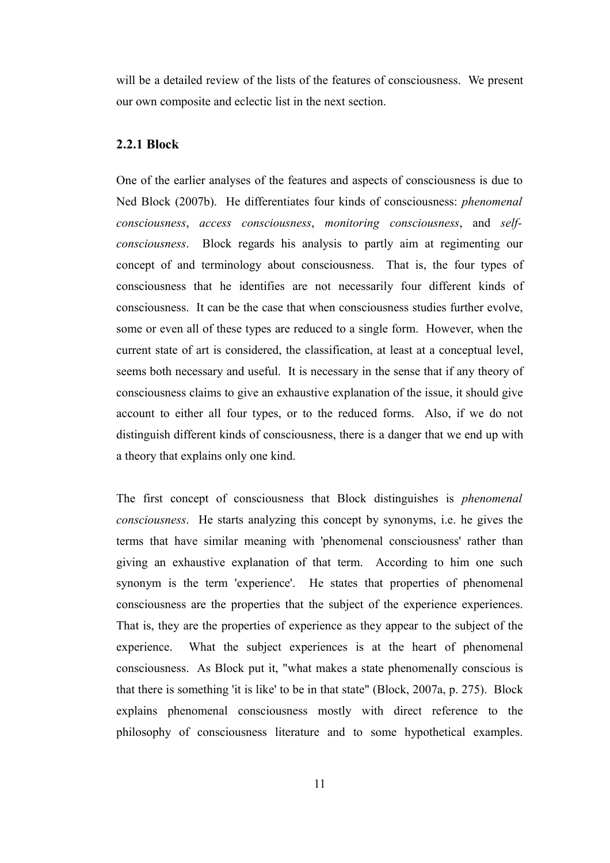will be a detailed review of the lists of the features of consciousness. We present our own composite and eclectic list in the next section.

#### **2.2.1 Block**

One of the earlier analyses of the features and aspects of consciousness is due to Ned Block (2007b). He differentiates four kinds of consciousness: *phenomenal consciousness*, *access consciousness*, *monitoring consciousness*, and *selfconsciousness*. Block regards his analysis to partly aim at regimenting our concept of and terminology about consciousness. That is, the four types of consciousness that he identifies are not necessarily four different kinds of consciousness. It can be the case that when consciousness studies further evolve, some or even all of these types are reduced to a single form. However, when the current state of art is considered, the classification, at least at a conceptual level, seems both necessary and useful. It is necessary in the sense that if any theory of consciousness claims to give an exhaustive explanation of the issue, it should give account to either all four types, or to the reduced forms. Also, if we do not distinguish different kinds of consciousness, there is a danger that we end up with a theory that explains only one kind.

The first concept of consciousness that Block distinguishes is *phenomenal consciousness*. He starts analyzing this concept by synonyms, i.e. he gives the terms that have similar meaning with 'phenomenal consciousness' rather than giving an exhaustive explanation of that term. According to him one such synonym is the term 'experience'. He states that properties of phenomenal consciousness are the properties that the subject of the experience experiences. That is, they are the properties of experience as they appear to the subject of the experience. What the subject experiences is at the heart of phenomenal consciousness. As Block put it, "what makes a state phenomenally conscious is that there is something 'it is like' to be in that state" (Block, 2007a, p. 275). Block explains phenomenal consciousness mostly with direct reference to the philosophy of consciousness literature and to some hypothetical examples.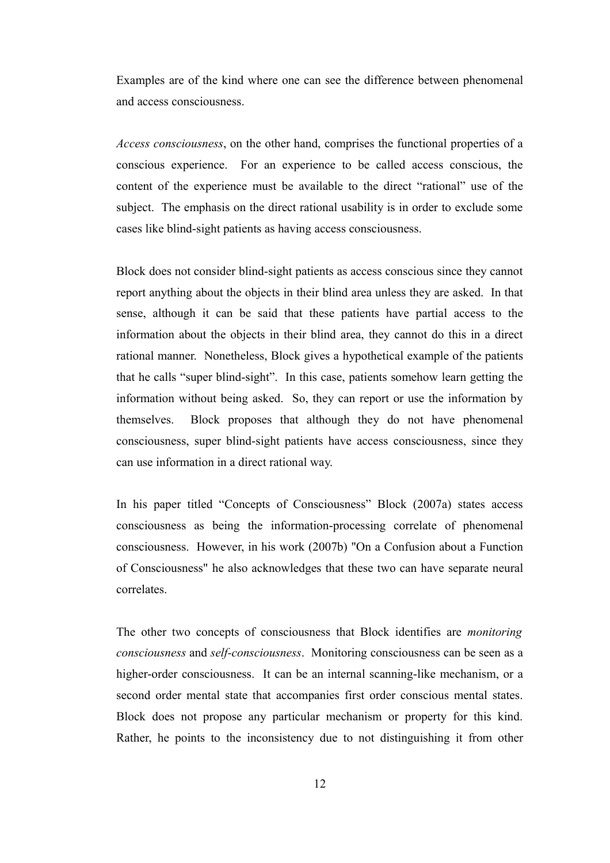Examples are of the kind where one can see the difference between phenomenal and access consciousness.

*Access consciousness*, on the other hand, comprises the functional properties of a conscious experience. For an experience to be called access conscious, the content of the experience must be available to the direct "rational" use of the subject. The emphasis on the direct rational usability is in order to exclude some cases like blind-sight patients as having access consciousness.

Block does not consider blind-sight patients as access conscious since they cannot report anything about the objects in their blind area unless they are asked. In that sense, although it can be said that these patients have partial access to the information about the objects in their blind area, they cannot do this in a direct rational manner. Nonetheless, Block gives a hypothetical example of the patients that he calls "super blind-sight". In this case, patients somehow learn getting the information without being asked. So, they can report or use the information by themselves. Block proposes that although they do not have phenomenal consciousness, super blind-sight patients have access consciousness, since they can use information in a direct rational way.

In his paper titled "Concepts of Consciousness" Block (2007a) states access consciousness as being the information-processing correlate of phenomenal consciousness. However, in his work (2007b) "On a Confusion about a Function of Consciousness" he also acknowledges that these two can have separate neural correlates.

The other two concepts of consciousness that Block identifies are *monitoring consciousness* and *self-consciousness*. Monitoring consciousness can be seen as a higher-order consciousness. It can be an internal scanning-like mechanism, or a second order mental state that accompanies first order conscious mental states. Block does not propose any particular mechanism or property for this kind. Rather, he points to the inconsistency due to not distinguishing it from other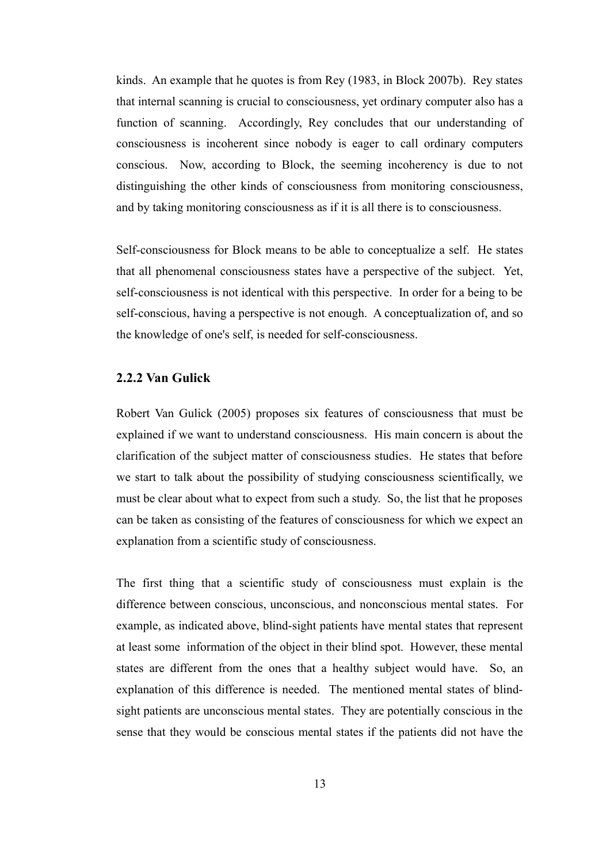kinds. An example that he quotes is from Rey (1983, in Block 2007b). Rey states that internal scanning is crucial to consciousness, yet ordinary computer also has a function of scanning. Accordingly, Rey concludes that our understanding of consciousness is incoherent since nobody is eager to call ordinary computers conscious. Now, according to Block, the seeming incoherency is due to not distinguishing the other kinds of consciousness from monitoring consciousness, and by taking monitoring consciousness as if it is all there is to consciousness.

Self-consciousness for Block means to be able to conceptualize a self. He states that all phenomenal consciousness states have a perspective of the subject. Yet, self-consciousness is not identical with this perspective. In order for a being to be self-conscious, having a perspective is not enough. A conceptualization of, and so the knowledge of one's self, is needed for self-consciousness.

#### **2.2.2 Van Gulick**

Robert Van Gulick (2005) proposes six features of consciousness that must be explained if we want to understand consciousness. His main concern is about the clarification of the subject matter of consciousness studies. He states that before we start to talk about the possibility of studying consciousness scientifically, we must be clear about what to expect from such a study. So, the list that he proposes can be taken as consisting of the features of consciousness for which we expect an explanation from a scientific study of consciousness.

The first thing that a scientific study of consciousness must explain is the difference between conscious, unconscious, and nonconscious mental states. For example, as indicated above, blind-sight patients have mental states that represent at least some information of the object in their blind spot. However, these mental states are different from the ones that a healthy subject would have. So, an explanation of this difference is needed. The mentioned mental states of blindsight patients are unconscious mental states. They are potentially conscious in the sense that they would be conscious mental states if the patients did not have the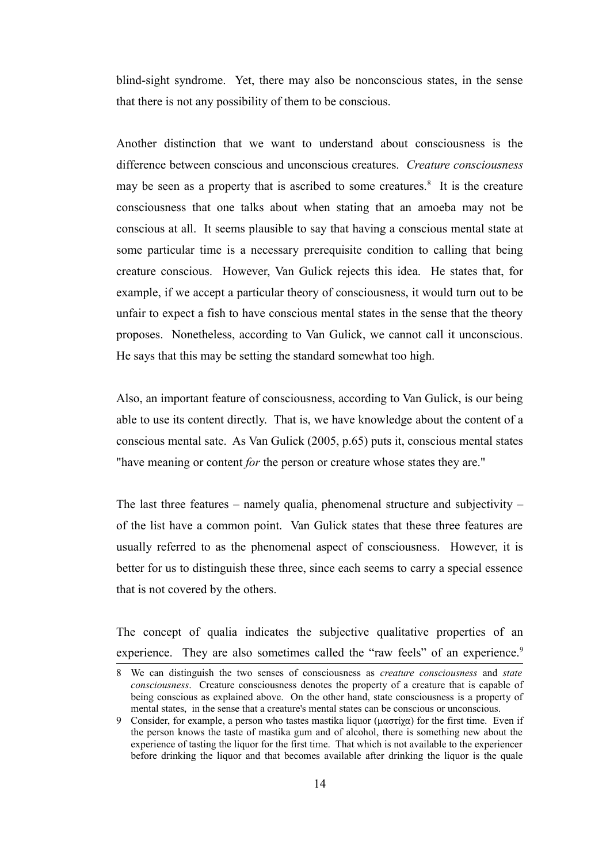blind-sight syndrome. Yet, there may also be nonconscious states, in the sense that there is not any possibility of them to be conscious.

Another distinction that we want to understand about consciousness is the difference between conscious and unconscious creatures. *Creature consciousness* may be seen as a property that is ascribed to some creatures.<sup>[8](#page-23-0)</sup> It is the creature consciousness that one talks about when stating that an amoeba may not be conscious at all. It seems plausible to say that having a conscious mental state at some particular time is a necessary prerequisite condition to calling that being creature conscious. However, Van Gulick rejects this idea. He states that, for example, if we accept a particular theory of consciousness, it would turn out to be unfair to expect a fish to have conscious mental states in the sense that the theory proposes. Nonetheless, according to Van Gulick, we cannot call it unconscious. He says that this may be setting the standard somewhat too high.

Also, an important feature of consciousness, according to Van Gulick, is our being able to use its content directly. That is, we have knowledge about the content of a conscious mental sate. As Van Gulick (2005, p.65) puts it, conscious mental states "have meaning or content *for* the person or creature whose states they are."

The last three features – namely qualia, phenomenal structure and subjectivity – of the list have a common point. Van Gulick states that these three features are usually referred to as the phenomenal aspect of consciousness. However, it is better for us to distinguish these three, since each seems to carry a special essence that is not covered by the others.

The concept of qualia indicates the subjective qualitative properties of an experience. They are also sometimes called the "raw feels" of an experience.<sup>[9](#page-23-1)</sup>

<span id="page-23-0"></span><sup>8</sup> We can distinguish the two senses of consciousness as *creature consciousness* and *state consciousness*. Creature consciousness denotes the property of a creature that is capable of being conscious as explained above. On the other hand, state consciousness is a property of mental states, in the sense that a creature's mental states can be conscious or unconscious.

<span id="page-23-1"></span><sup>9</sup> Consider, for example, a person who tastes mastika liquor (μαστίχα) for the first time. Even if the person knows the taste of mastika gum and of alcohol, there is something new about the experience of tasting the liquor for the first time. That which is not available to the experiencer before drinking the liquor and that becomes available after drinking the liquor is the quale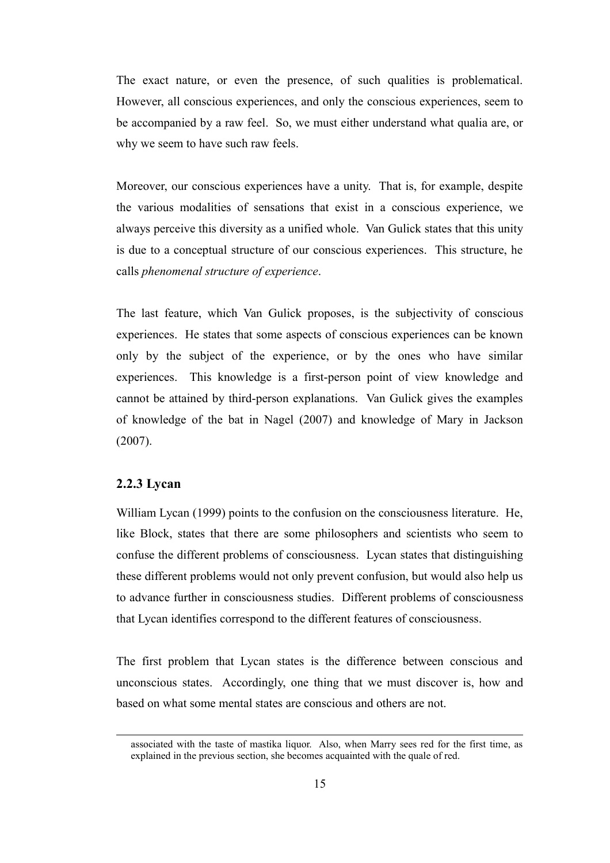The exact nature, or even the presence, of such qualities is problematical. However, all conscious experiences, and only the conscious experiences, seem to be accompanied by a raw feel. So, we must either understand what qualia are, or why we seem to have such raw feels.

Moreover, our conscious experiences have a unity. That is, for example, despite the various modalities of sensations that exist in a conscious experience, we always perceive this diversity as a unified whole. Van Gulick states that this unity is due to a conceptual structure of our conscious experiences. This structure, he calls *phenomenal structure of experience*.

The last feature, which Van Gulick proposes, is the subjectivity of conscious experiences. He states that some aspects of conscious experiences can be known only by the subject of the experience, or by the ones who have similar experiences. This knowledge is a first-person point of view knowledge and cannot be attained by third-person explanations. Van Gulick gives the examples of knowledge of the bat in Nagel (2007) and knowledge of Mary in Jackson (2007).

#### **2.2.3 Lycan**

William Lycan (1999) points to the confusion on the consciousness literature. He, like Block, states that there are some philosophers and scientists who seem to confuse the different problems of consciousness. Lycan states that distinguishing these different problems would not only prevent confusion, but would also help us to advance further in consciousness studies. Different problems of consciousness that Lycan identifies correspond to the different features of consciousness.

The first problem that Lycan states is the difference between conscious and unconscious states. Accordingly, one thing that we must discover is, how and based on what some mental states are conscious and others are not.

associated with the taste of mastika liquor. Also, when Marry sees red for the first time, as explained in the previous section, she becomes acquainted with the quale of red.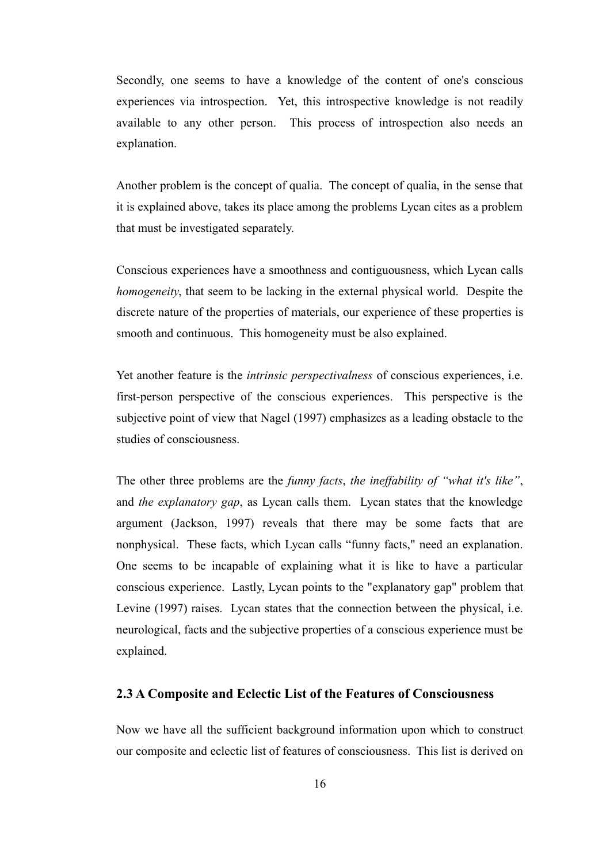Secondly, one seems to have a knowledge of the content of one's conscious experiences via introspection. Yet, this introspective knowledge is not readily available to any other person. This process of introspection also needs an explanation.

Another problem is the concept of qualia. The concept of qualia, in the sense that it is explained above, takes its place among the problems Lycan cites as a problem that must be investigated separately.

Conscious experiences have a smoothness and contiguousness, which Lycan calls *homogeneity*, that seem to be lacking in the external physical world. Despite the discrete nature of the properties of materials, our experience of these properties is smooth and continuous. This homogeneity must be also explained.

Yet another feature is the *intrinsic perspectivalness* of conscious experiences, i.e. first-person perspective of the conscious experiences. This perspective is the subjective point of view that Nagel (1997) emphasizes as a leading obstacle to the studies of consciousness.

The other three problems are the *funny facts*, *the ineffability of "what it's like"*, and *the explanatory gap*, as Lycan calls them. Lycan states that the knowledge argument (Jackson, 1997) reveals that there may be some facts that are nonphysical. These facts, which Lycan calls "funny facts," need an explanation. One seems to be incapable of explaining what it is like to have a particular conscious experience. Lastly, Lycan points to the "explanatory gap" problem that Levine (1997) raises. Lycan states that the connection between the physical, i.e. neurological, facts and the subjective properties of a conscious experience must be explained.

#### **2.3 A Composite and Eclectic List of the Features of Consciousness**

Now we have all the sufficient background information upon which to construct our composite and eclectic list of features of consciousness. This list is derived on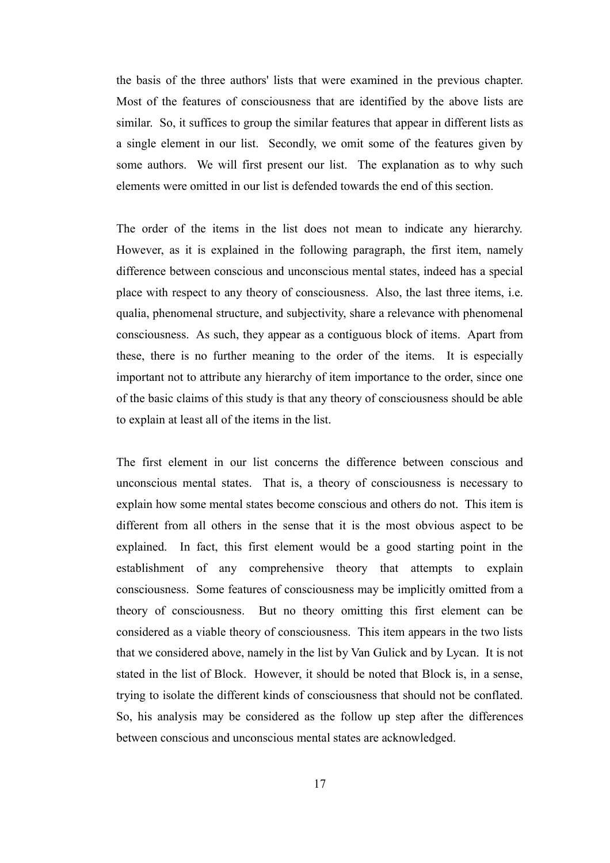the basis of the three authors' lists that were examined in the previous chapter. Most of the features of consciousness that are identified by the above lists are similar. So, it suffices to group the similar features that appear in different lists as a single element in our list. Secondly, we omit some of the features given by some authors. We will first present our list. The explanation as to why such elements were omitted in our list is defended towards the end of this section.

The order of the items in the list does not mean to indicate any hierarchy. However, as it is explained in the following paragraph, the first item, namely difference between conscious and unconscious mental states, indeed has a special place with respect to any theory of consciousness. Also, the last three items, i.e. qualia, phenomenal structure, and subjectivity, share a relevance with phenomenal consciousness. As such, they appear as a contiguous block of items. Apart from these, there is no further meaning to the order of the items. It is especially important not to attribute any hierarchy of item importance to the order, since one of the basic claims of this study is that any theory of consciousness should be able to explain at least all of the items in the list.

The first element in our list concerns the difference between conscious and unconscious mental states. That is, a theory of consciousness is necessary to explain how some mental states become conscious and others do not. This item is different from all others in the sense that it is the most obvious aspect to be explained. In fact, this first element would be a good starting point in the establishment of any comprehensive theory that attempts to explain consciousness. Some features of consciousness may be implicitly omitted from a theory of consciousness. But no theory omitting this first element can be considered as a viable theory of consciousness. This item appears in the two lists that we considered above, namely in the list by Van Gulick and by Lycan. It is not stated in the list of Block. However, it should be noted that Block is, in a sense, trying to isolate the different kinds of consciousness that should not be conflated. So, his analysis may be considered as the follow up step after the differences between conscious and unconscious mental states are acknowledged.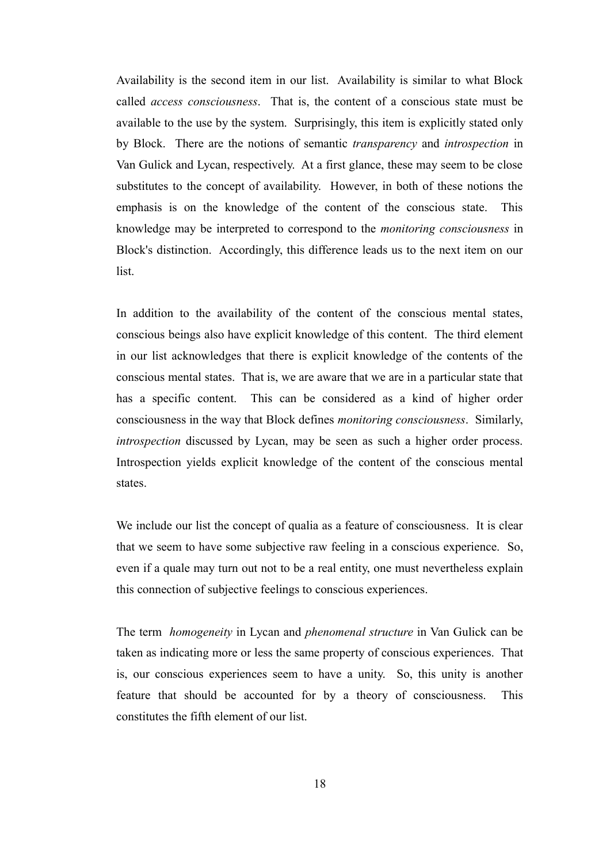Availability is the second item in our list. Availability is similar to what Block called *access consciousness*. That is, the content of a conscious state must be available to the use by the system. Surprisingly, this item is explicitly stated only by Block. There are the notions of semantic *transparency* and *introspection* in Van Gulick and Lycan, respectively. At a first glance, these may seem to be close substitutes to the concept of availability. However, in both of these notions the emphasis is on the knowledge of the content of the conscious state. This knowledge may be interpreted to correspond to the *monitoring consciousness* in Block's distinction. Accordingly, this difference leads us to the next item on our list.

In addition to the availability of the content of the conscious mental states, conscious beings also have explicit knowledge of this content. The third element in our list acknowledges that there is explicit knowledge of the contents of the conscious mental states. That is, we are aware that we are in a particular state that has a specific content. This can be considered as a kind of higher order consciousness in the way that Block defines *monitoring consciousness*. Similarly, *introspection* discussed by Lycan, may be seen as such a higher order process. Introspection yields explicit knowledge of the content of the conscious mental states.

We include our list the concept of qualia as a feature of consciousness. It is clear that we seem to have some subjective raw feeling in a conscious experience. So, even if a quale may turn out not to be a real entity, one must nevertheless explain this connection of subjective feelings to conscious experiences.

The term *homogeneity* in Lycan and *phenomenal structure* in Van Gulick can be taken as indicating more or less the same property of conscious experiences. That is, our conscious experiences seem to have a unity. So, this unity is another feature that should be accounted for by a theory of consciousness. This constitutes the fifth element of our list.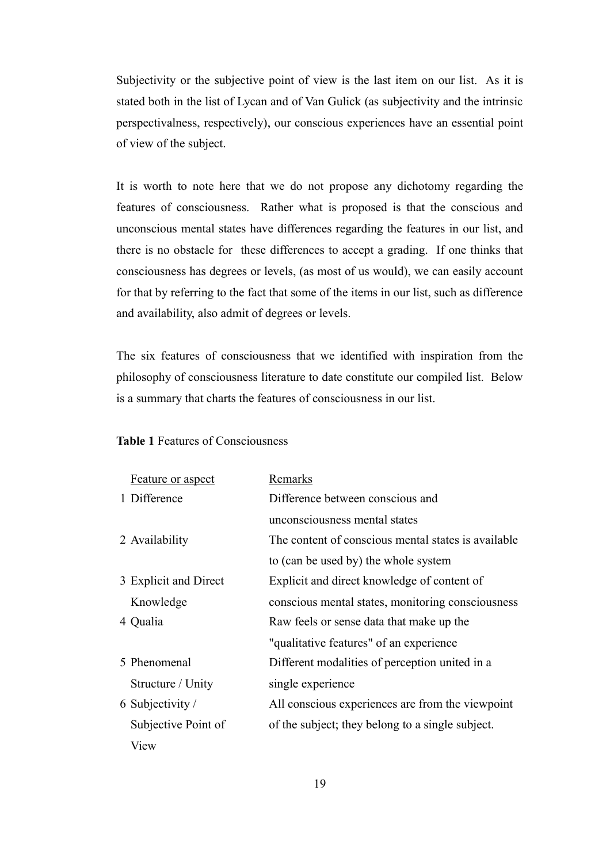Subjectivity or the subjective point of view is the last item on our list. As it is stated both in the list of Lycan and of Van Gulick (as subjectivity and the intrinsic perspectivalness, respectively), our conscious experiences have an essential point of view of the subject.

It is worth to note here that we do not propose any dichotomy regarding the features of consciousness. Rather what is proposed is that the conscious and unconscious mental states have differences regarding the features in our list, and there is no obstacle for these differences to accept a grading. If one thinks that consciousness has degrees or levels, (as most of us would), we can easily account for that by referring to the fact that some of the items in our list, such as difference and availability, also admit of degrees or levels.

The six features of consciousness that we identified with inspiration from the philosophy of consciousness literature to date constitute our compiled list. Below is a summary that charts the features of consciousness in our list.

#### **Table 1** Features of Consciousness

| <b>Feature or aspect</b> | Remarks                                             |
|--------------------------|-----------------------------------------------------|
| 1 Difference             | Difference between conscious and                    |
|                          | unconsciousness mental states                       |
| 2 Availability           | The content of conscious mental states is available |
|                          | to (can be used by) the whole system                |
| 3 Explicit and Direct    | Explicit and direct knowledge of content of         |
| Knowledge                | conscious mental states, monitoring consciousness   |
| 4 Qualia                 | Raw feels or sense data that make up the            |
|                          | "qualitative features" of an experience             |
| 5 Phenomenal             | Different modalities of perception united in a      |
| Structure / Unity        | single experience                                   |
| 6 Subjectivity /         | All conscious experiences are from the viewpoint    |
| Subjective Point of      | of the subject; they belong to a single subject.    |
| View                     |                                                     |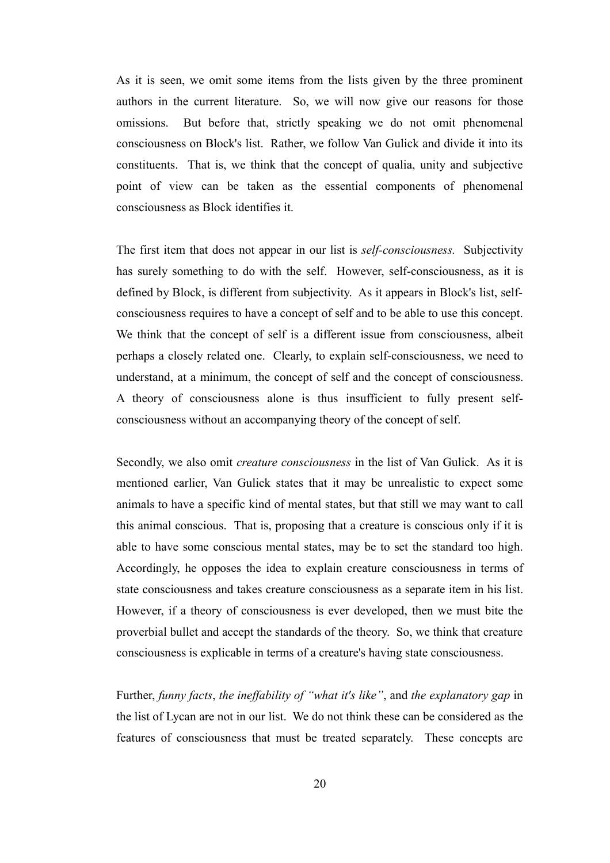As it is seen, we omit some items from the lists given by the three prominent authors in the current literature. So, we will now give our reasons for those omissions. But before that, strictly speaking we do not omit phenomenal consciousness on Block's list. Rather, we follow Van Gulick and divide it into its constituents. That is, we think that the concept of qualia, unity and subjective point of view can be taken as the essential components of phenomenal consciousness as Block identifies it.

The first item that does not appear in our list is *self-consciousness.* Subjectivity has surely something to do with the self. However, self-consciousness, as it is defined by Block, is different from subjectivity. As it appears in Block's list, selfconsciousness requires to have a concept of self and to be able to use this concept. We think that the concept of self is a different issue from consciousness, albeit perhaps a closely related one. Clearly, to explain self-consciousness, we need to understand, at a minimum, the concept of self and the concept of consciousness. A theory of consciousness alone is thus insufficient to fully present selfconsciousness without an accompanying theory of the concept of self.

Secondly, we also omit *creature consciousness* in the list of Van Gulick. As it is mentioned earlier, Van Gulick states that it may be unrealistic to expect some animals to have a specific kind of mental states, but that still we may want to call this animal conscious. That is, proposing that a creature is conscious only if it is able to have some conscious mental states, may be to set the standard too high. Accordingly, he opposes the idea to explain creature consciousness in terms of state consciousness and takes creature consciousness as a separate item in his list. However, if a theory of consciousness is ever developed, then we must bite the proverbial bullet and accept the standards of the theory. So, we think that creature consciousness is explicable in terms of a creature's having state consciousness.

Further, *funny facts*, *the ineffability of "what it's like"*, and *the explanatory gap* in the list of Lycan are not in our list. We do not think these can be considered as the features of consciousness that must be treated separately. These concepts are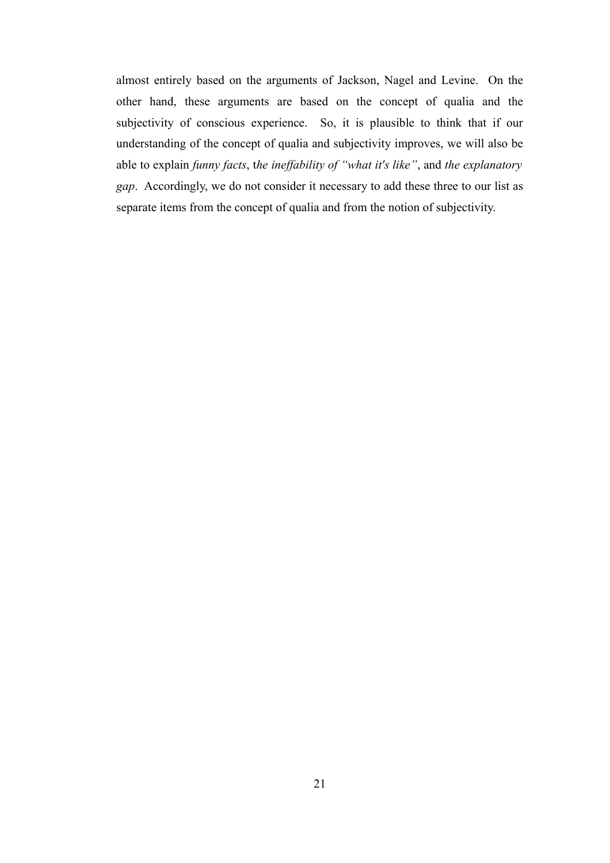almost entirely based on the arguments of Jackson, Nagel and Levine. On the other hand, these arguments are based on the concept of qualia and the subjectivity of conscious experience. So, it is plausible to think that if our understanding of the concept of qualia and subjectivity improves, we will also be able to explain *funny facts*, t*he ineffability of "what it's like"*, and *the explanatory gap*. Accordingly, we do not consider it necessary to add these three to our list as separate items from the concept of qualia and from the notion of subjectivity.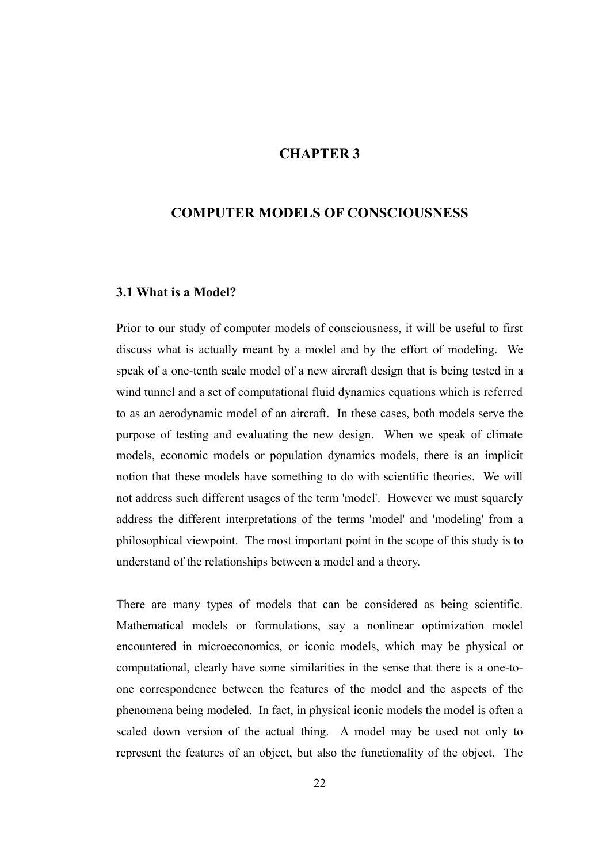### **CHAPTER 3**

### **COMPUTER MODELS OF CONSCIOUSNESS**

#### **3.1 What is a Model?**

Prior to our study of computer models of consciousness, it will be useful to first discuss what is actually meant by a model and by the effort of modeling. We speak of a one-tenth scale model of a new aircraft design that is being tested in a wind tunnel and a set of computational fluid dynamics equations which is referred to as an aerodynamic model of an aircraft. In these cases, both models serve the purpose of testing and evaluating the new design. When we speak of climate models, economic models or population dynamics models, there is an implicit notion that these models have something to do with scientific theories. We will not address such different usages of the term 'model'. However we must squarely address the different interpretations of the terms 'model' and 'modeling' from a philosophical viewpoint. The most important point in the scope of this study is to understand of the relationships between a model and a theory.

There are many types of models that can be considered as being scientific. Mathematical models or formulations, say a nonlinear optimization model encountered in microeconomics, or iconic models, which may be physical or computational, clearly have some similarities in the sense that there is a one-toone correspondence between the features of the model and the aspects of the phenomena being modeled. In fact, in physical iconic models the model is often a scaled down version of the actual thing. A model may be used not only to represent the features of an object, but also the functionality of the object. The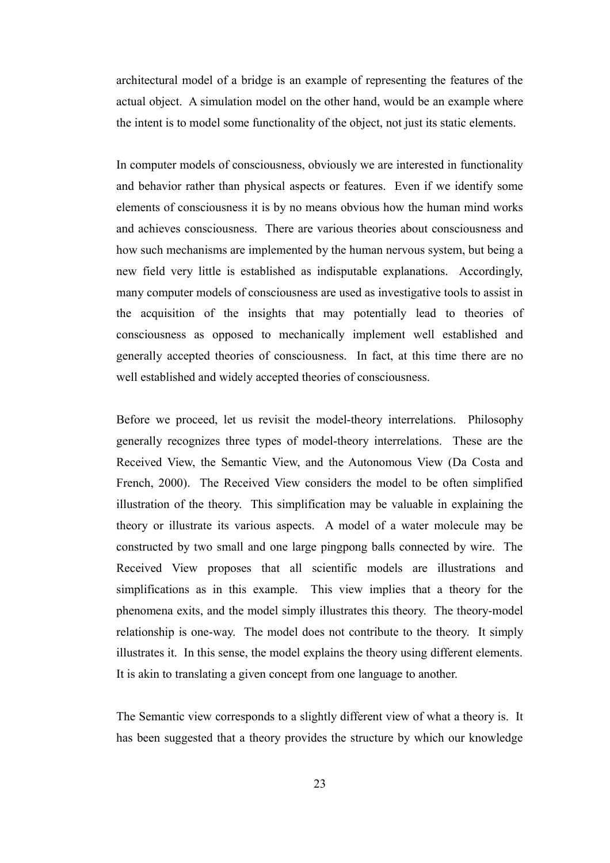architectural model of a bridge is an example of representing the features of the actual object. A simulation model on the other hand, would be an example where the intent is to model some functionality of the object, not just its static elements.

In computer models of consciousness, obviously we are interested in functionality and behavior rather than physical aspects or features. Even if we identify some elements of consciousness it is by no means obvious how the human mind works and achieves consciousness. There are various theories about consciousness and how such mechanisms are implemented by the human nervous system, but being a new field very little is established as indisputable explanations. Accordingly, many computer models of consciousness are used as investigative tools to assist in the acquisition of the insights that may potentially lead to theories of consciousness as opposed to mechanically implement well established and generally accepted theories of consciousness. In fact, at this time there are no well established and widely accepted theories of consciousness.

Before we proceed, let us revisit the model-theory interrelations. Philosophy generally recognizes three types of model-theory interrelations. These are the Received View, the Semantic View, and the Autonomous View (Da Costa and French, 2000). The Received View considers the model to be often simplified illustration of the theory. This simplification may be valuable in explaining the theory or illustrate its various aspects. A model of a water molecule may be constructed by two small and one large pingpong balls connected by wire. The Received View proposes that all scientific models are illustrations and simplifications as in this example. This view implies that a theory for the phenomena exits, and the model simply illustrates this theory. The theory-model relationship is one-way. The model does not contribute to the theory. It simply illustrates it. In this sense, the model explains the theory using different elements. It is akin to translating a given concept from one language to another.

The Semantic view corresponds to a slightly different view of what a theory is. It has been suggested that a theory provides the structure by which our knowledge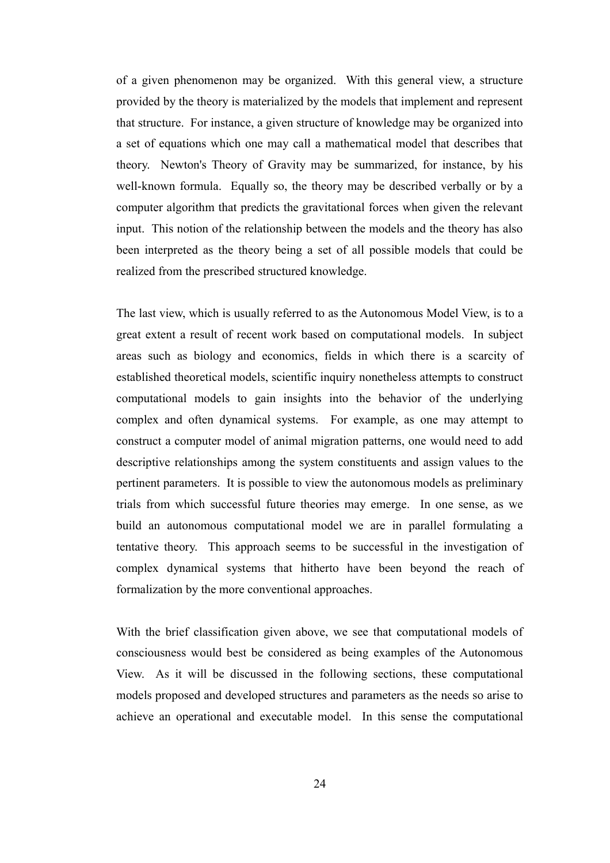of a given phenomenon may be organized. With this general view, a structure provided by the theory is materialized by the models that implement and represent that structure. For instance, a given structure of knowledge may be organized into a set of equations which one may call a mathematical model that describes that theory. Newton's Theory of Gravity may be summarized, for instance, by his well-known formula. Equally so, the theory may be described verbally or by a computer algorithm that predicts the gravitational forces when given the relevant input. This notion of the relationship between the models and the theory has also been interpreted as the theory being a set of all possible models that could be realized from the prescribed structured knowledge.

The last view, which is usually referred to as the Autonomous Model View, is to a great extent a result of recent work based on computational models. In subject areas such as biology and economics, fields in which there is a scarcity of established theoretical models, scientific inquiry nonetheless attempts to construct computational models to gain insights into the behavior of the underlying complex and often dynamical systems. For example, as one may attempt to construct a computer model of animal migration patterns, one would need to add descriptive relationships among the system constituents and assign values to the pertinent parameters. It is possible to view the autonomous models as preliminary trials from which successful future theories may emerge. In one sense, as we build an autonomous computational model we are in parallel formulating a tentative theory. This approach seems to be successful in the investigation of complex dynamical systems that hitherto have been beyond the reach of formalization by the more conventional approaches.

With the brief classification given above, we see that computational models of consciousness would best be considered as being examples of the Autonomous View. As it will be discussed in the following sections, these computational models proposed and developed structures and parameters as the needs so arise to achieve an operational and executable model. In this sense the computational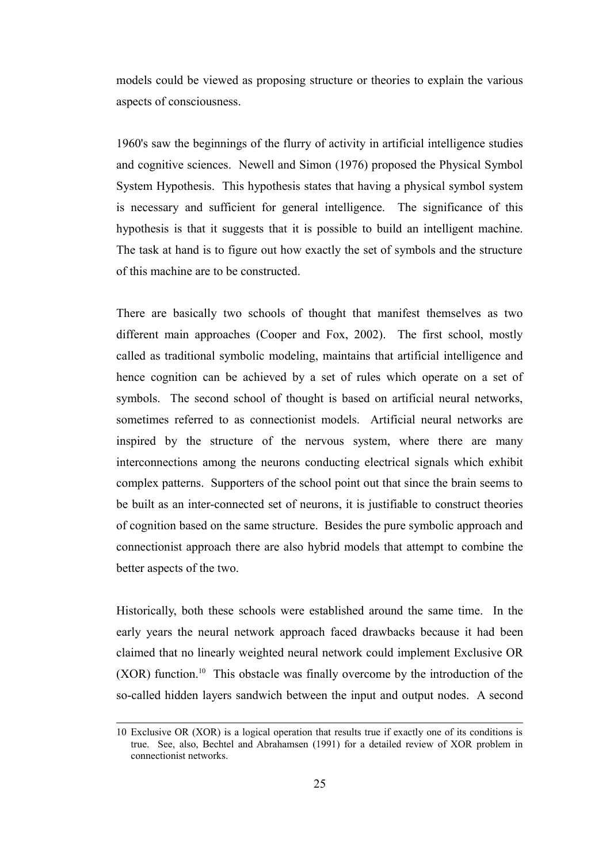models could be viewed as proposing structure or theories to explain the various aspects of consciousness.

1960's saw the beginnings of the flurry of activity in artificial intelligence studies and cognitive sciences. Newell and Simon (1976) proposed the Physical Symbol System Hypothesis. This hypothesis states that having a physical symbol system is necessary and sufficient for general intelligence. The significance of this hypothesis is that it suggests that it is possible to build an intelligent machine. The task at hand is to figure out how exactly the set of symbols and the structure of this machine are to be constructed.

There are basically two schools of thought that manifest themselves as two different main approaches (Cooper and Fox, 2002). The first school, mostly called as traditional symbolic modeling, maintains that artificial intelligence and hence cognition can be achieved by a set of rules which operate on a set of symbols. The second school of thought is based on artificial neural networks, sometimes referred to as connectionist models. Artificial neural networks are inspired by the structure of the nervous system, where there are many interconnections among the neurons conducting electrical signals which exhibit complex patterns. Supporters of the school point out that since the brain seems to be built as an inter-connected set of neurons, it is justifiable to construct theories of cognition based on the same structure. Besides the pure symbolic approach and connectionist approach there are also hybrid models that attempt to combine the better aspects of the two.

Historically, both these schools were established around the same time. In the early years the neural network approach faced drawbacks because it had been claimed that no linearly weighted neural network could implement Exclusive OR (XOR) function.[10](#page-34-0) This obstacle was finally overcome by the introduction of the so-called hidden layers sandwich between the input and output nodes. A second

<span id="page-34-0"></span><sup>10</sup> Exclusive OR (XOR) is a logical operation that results true if exactly one of its conditions is true. See, also, Bechtel and Abrahamsen (1991) for a detailed review of XOR problem in connectionist networks.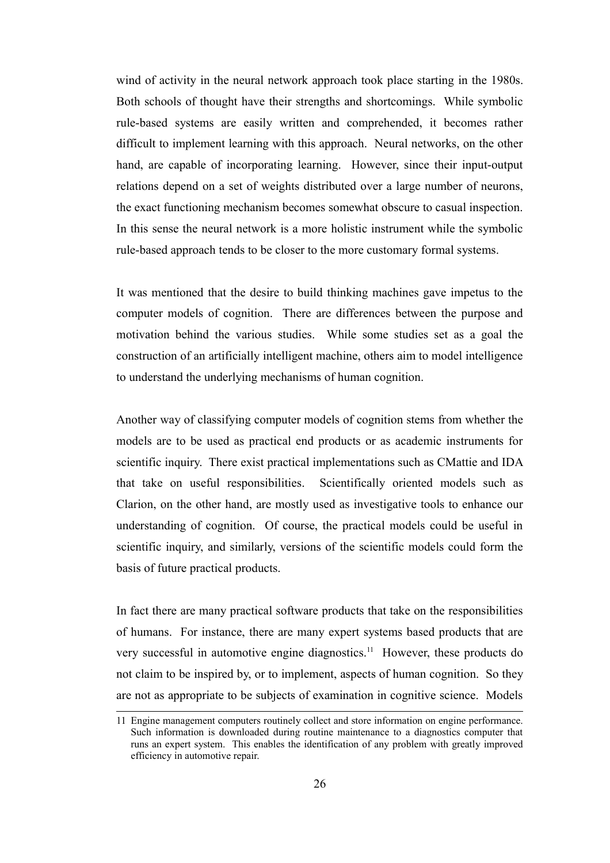wind of activity in the neural network approach took place starting in the 1980s. Both schools of thought have their strengths and shortcomings. While symbolic rule-based systems are easily written and comprehended, it becomes rather difficult to implement learning with this approach. Neural networks, on the other hand, are capable of incorporating learning. However, since their input-output relations depend on a set of weights distributed over a large number of neurons, the exact functioning mechanism becomes somewhat obscure to casual inspection. In this sense the neural network is a more holistic instrument while the symbolic rule-based approach tends to be closer to the more customary formal systems.

It was mentioned that the desire to build thinking machines gave impetus to the computer models of cognition. There are differences between the purpose and motivation behind the various studies. While some studies set as a goal the construction of an artificially intelligent machine, others aim to model intelligence to understand the underlying mechanisms of human cognition.

Another way of classifying computer models of cognition stems from whether the models are to be used as practical end products or as academic instruments for scientific inquiry. There exist practical implementations such as CMattie and IDA that take on useful responsibilities. Scientifically oriented models such as Clarion, on the other hand, are mostly used as investigative tools to enhance our understanding of cognition. Of course, the practical models could be useful in scientific inquiry, and similarly, versions of the scientific models could form the basis of future practical products.

In fact there are many practical software products that take on the responsibilities of humans. For instance, there are many expert systems based products that are very successful in automotive engine diagnostics.[11](#page-35-0) However, these products do not claim to be inspired by, or to implement, aspects of human cognition. So they are not as appropriate to be subjects of examination in cognitive science. Models

<span id="page-35-0"></span><sup>11</sup> Engine management computers routinely collect and store information on engine performance. Such information is downloaded during routine maintenance to a diagnostics computer that runs an expert system. This enables the identification of any problem with greatly improved efficiency in automotive repair.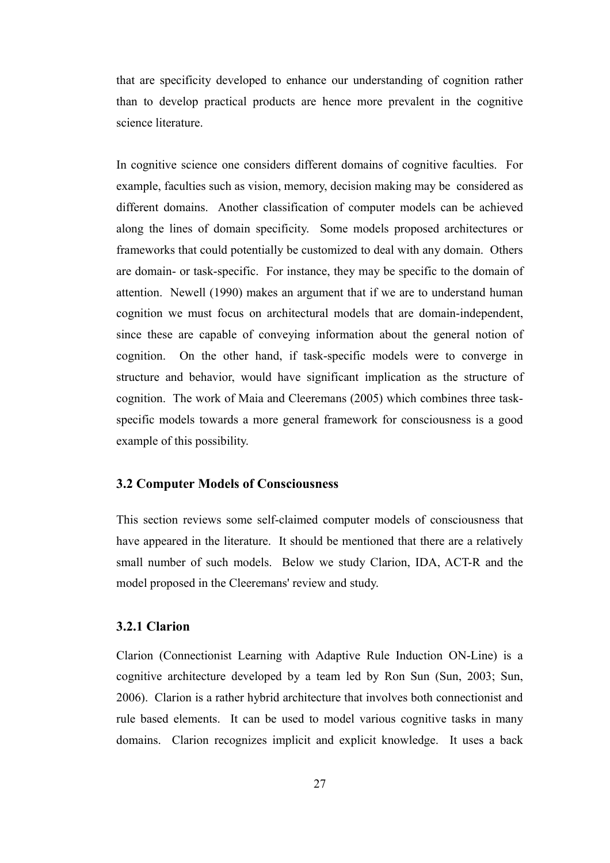that are specificity developed to enhance our understanding of cognition rather than to develop practical products are hence more prevalent in the cognitive science literature.

In cognitive science one considers different domains of cognitive faculties. For example, faculties such as vision, memory, decision making may be considered as different domains. Another classification of computer models can be achieved along the lines of domain specificity. Some models proposed architectures or frameworks that could potentially be customized to deal with any domain. Others are domain- or task-specific. For instance, they may be specific to the domain of attention. Newell (1990) makes an argument that if we are to understand human cognition we must focus on architectural models that are domain-independent, since these are capable of conveying information about the general notion of cognition. On the other hand, if task-specific models were to converge in structure and behavior, would have significant implication as the structure of cognition. The work of Maia and Cleeremans (2005) which combines three taskspecific models towards a more general framework for consciousness is a good example of this possibility.

#### **3.2 Computer Models of Consciousness**

This section reviews some self-claimed computer models of consciousness that have appeared in the literature. It should be mentioned that there are a relatively small number of such models. Below we study Clarion, IDA, ACT-R and the model proposed in the Cleeremans' review and study.

### **3.2.1 Clarion**

Clarion (Connectionist Learning with Adaptive Rule Induction ON-Line) is a cognitive architecture developed by a team led by Ron Sun (Sun, 2003; Sun, 2006). Clarion is a rather hybrid architecture that involves both connectionist and rule based elements. It can be used to model various cognitive tasks in many domains. Clarion recognizes implicit and explicit knowledge. It uses a back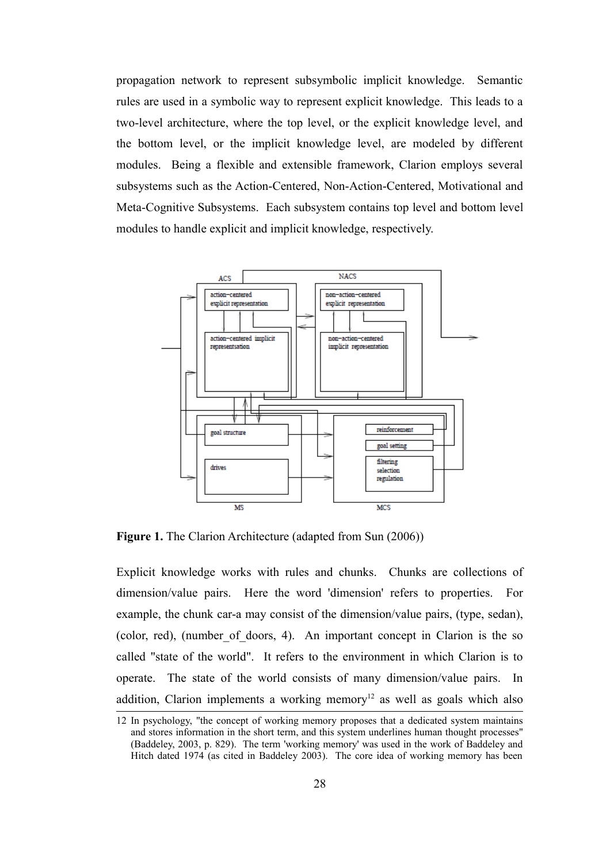propagation network to represent subsymbolic implicit knowledge. Semantic rules are used in a symbolic way to represent explicit knowledge. This leads to a two-level architecture, where the top level, or the explicit knowledge level, and the bottom level, or the implicit knowledge level, are modeled by different modules. Being a flexible and extensible framework, Clarion employs several subsystems such as the Action-Centered, Non-Action-Centered, Motivational and Meta-Cognitive Subsystems. Each subsystem contains top level and bottom level modules to handle explicit and implicit knowledge, respectively.



**Figure 1.** The Clarion Architecture (adapted from Sun (2006))

Explicit knowledge works with rules and chunks. Chunks are collections of dimension/value pairs. Here the word 'dimension' refers to properties. For example, the chunk car-a may consist of the dimension/value pairs, (type, sedan), (color, red), (number\_of\_doors, 4). An important concept in Clarion is the so called "state of the world". It refers to the environment in which Clarion is to operate. The state of the world consists of many dimension/value pairs. In addition, Clarion implements a working memory<sup>[12](#page-37-0)</sup> as well as goals which also

<span id="page-37-0"></span><sup>12</sup> In psychology, "the concept of working memory proposes that a dedicated system maintains and stores information in the short term, and this system underlines human thought processes" (Baddeley, 2003, p. 829). The term 'working memory' was used in the work of Baddeley and Hitch dated 1974 (as cited in Baddeley 2003). The core idea of working memory has been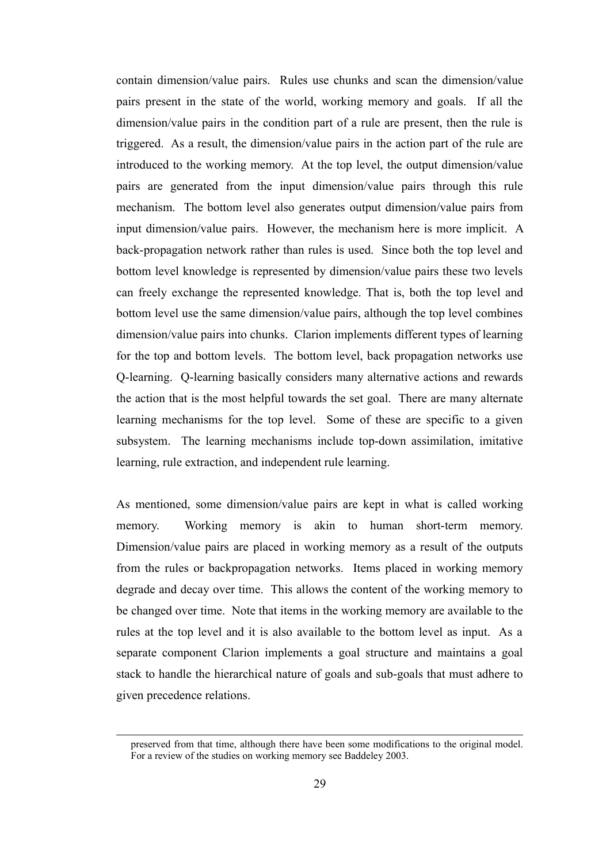contain dimension/value pairs. Rules use chunks and scan the dimension/value pairs present in the state of the world, working memory and goals. If all the dimension/value pairs in the condition part of a rule are present, then the rule is triggered. As a result, the dimension/value pairs in the action part of the rule are introduced to the working memory. At the top level, the output dimension/value pairs are generated from the input dimension/value pairs through this rule mechanism. The bottom level also generates output dimension/value pairs from input dimension/value pairs. However, the mechanism here is more implicit. A back-propagation network rather than rules is used. Since both the top level and bottom level knowledge is represented by dimension/value pairs these two levels can freely exchange the represented knowledge. That is, both the top level and bottom level use the same dimension/value pairs, although the top level combines dimension/value pairs into chunks. Clarion implements different types of learning for the top and bottom levels. The bottom level, back propagation networks use Q-learning. Q-learning basically considers many alternative actions and rewards the action that is the most helpful towards the set goal. There are many alternate learning mechanisms for the top level. Some of these are specific to a given subsystem. The learning mechanisms include top-down assimilation, imitative learning, rule extraction, and independent rule learning.

As mentioned, some dimension/value pairs are kept in what is called working memory. Working memory is akin to human short-term memory. Dimension/value pairs are placed in working memory as a result of the outputs from the rules or backpropagation networks. Items placed in working memory degrade and decay over time. This allows the content of the working memory to be changed over time. Note that items in the working memory are available to the rules at the top level and it is also available to the bottom level as input. As a separate component Clarion implements a goal structure and maintains a goal stack to handle the hierarchical nature of goals and sub-goals that must adhere to given precedence relations.

preserved from that time, although there have been some modifications to the original model. For a review of the studies on working memory see Baddeley 2003.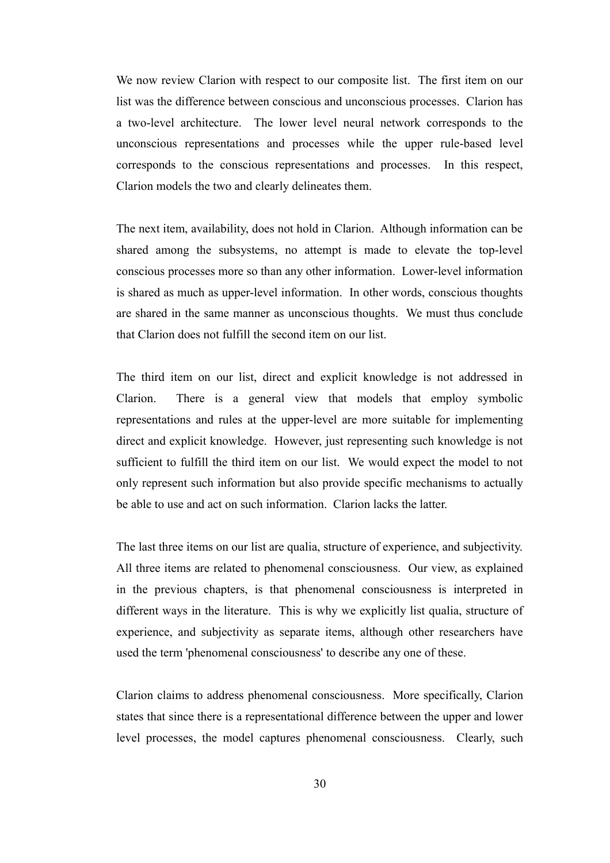We now review Clarion with respect to our composite list. The first item on our list was the difference between conscious and unconscious processes. Clarion has a two-level architecture. The lower level neural network corresponds to the unconscious representations and processes while the upper rule-based level corresponds to the conscious representations and processes. In this respect, Clarion models the two and clearly delineates them.

The next item, availability, does not hold in Clarion. Although information can be shared among the subsystems, no attempt is made to elevate the top-level conscious processes more so than any other information. Lower-level information is shared as much as upper-level information. In other words, conscious thoughts are shared in the same manner as unconscious thoughts. We must thus conclude that Clarion does not fulfill the second item on our list.

The third item on our list, direct and explicit knowledge is not addressed in Clarion. There is a general view that models that employ symbolic representations and rules at the upper-level are more suitable for implementing direct and explicit knowledge. However, just representing such knowledge is not sufficient to fulfill the third item on our list. We would expect the model to not only represent such information but also provide specific mechanisms to actually be able to use and act on such information. Clarion lacks the latter.

The last three items on our list are qualia, structure of experience, and subjectivity. All three items are related to phenomenal consciousness. Our view, as explained in the previous chapters, is that phenomenal consciousness is interpreted in different ways in the literature. This is why we explicitly list qualia, structure of experience, and subjectivity as separate items, although other researchers have used the term 'phenomenal consciousness' to describe any one of these.

Clarion claims to address phenomenal consciousness. More specifically, Clarion states that since there is a representational difference between the upper and lower level processes, the model captures phenomenal consciousness. Clearly, such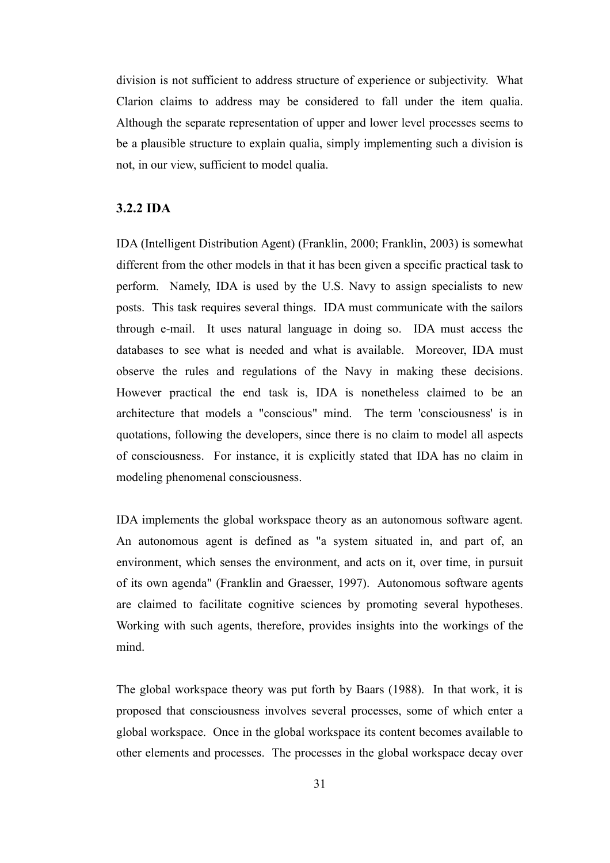division is not sufficient to address structure of experience or subjectivity. What Clarion claims to address may be considered to fall under the item qualia. Although the separate representation of upper and lower level processes seems to be a plausible structure to explain qualia, simply implementing such a division is not, in our view, sufficient to model qualia.

#### **3.2.2 IDA**

IDA (Intelligent Distribution Agent) (Franklin, 2000; Franklin, 2003) is somewhat different from the other models in that it has been given a specific practical task to perform. Namely, IDA is used by the U.S. Navy to assign specialists to new posts. This task requires several things. IDA must communicate with the sailors through e-mail. It uses natural language in doing so. IDA must access the databases to see what is needed and what is available. Moreover, IDA must observe the rules and regulations of the Navy in making these decisions. However practical the end task is, IDA is nonetheless claimed to be an architecture that models a "conscious" mind. The term 'consciousness' is in quotations, following the developers, since there is no claim to model all aspects of consciousness. For instance, it is explicitly stated that IDA has no claim in modeling phenomenal consciousness.

IDA implements the global workspace theory as an autonomous software agent. An autonomous agent is defined as "a system situated in, and part of, an environment, which senses the environment, and acts on it, over time, in pursuit of its own agenda" (Franklin and Graesser, 1997). Autonomous software agents are claimed to facilitate cognitive sciences by promoting several hypotheses. Working with such agents, therefore, provides insights into the workings of the mind.

The global workspace theory was put forth by Baars (1988). In that work, it is proposed that consciousness involves several processes, some of which enter a global workspace. Once in the global workspace its content becomes available to other elements and processes. The processes in the global workspace decay over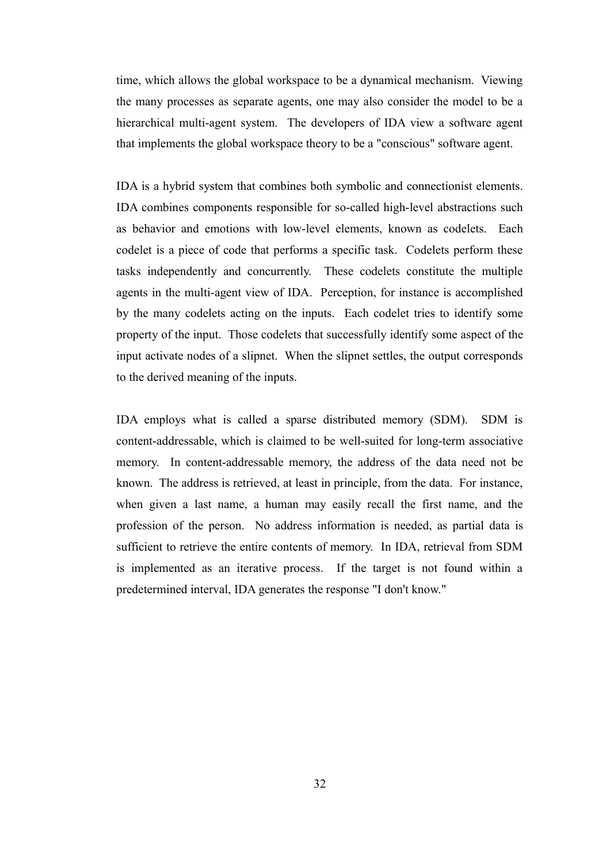time, which allows the global workspace to be a dynamical mechanism. Viewing the many processes as separate agents, one may also consider the model to be a hierarchical multi-agent system. The developers of IDA view a software agent that implements the global workspace theory to be a "conscious" software agent.

IDA is a hybrid system that combines both symbolic and connectionist elements. IDA combines components responsible for so-called high-level abstractions such as behavior and emotions with low-level elements, known as codelets. Each codelet is a piece of code that performs a specific task. Codelets perform these tasks independently and concurrently. These codelets constitute the multiple agents in the multi-agent view of IDA. Perception, for instance is accomplished by the many codelets acting on the inputs. Each codelet tries to identify some property of the input. Those codelets that successfully identify some aspect of the input activate nodes of a slipnet. When the slipnet settles, the output corresponds to the derived meaning of the inputs.

IDA employs what is called a sparse distributed memory (SDM). SDM is content-addressable, which is claimed to be well-suited for long-term associative memory. In content-addressable memory, the address of the data need not be known. The address is retrieved, at least in principle, from the data. For instance, when given a last name, a human may easily recall the first name, and the profession of the person. No address information is needed, as partial data is sufficient to retrieve the entire contents of memory. In IDA, retrieval from SDM is implemented as an iterative process. If the target is not found within a predetermined interval, IDA generates the response "I don't know."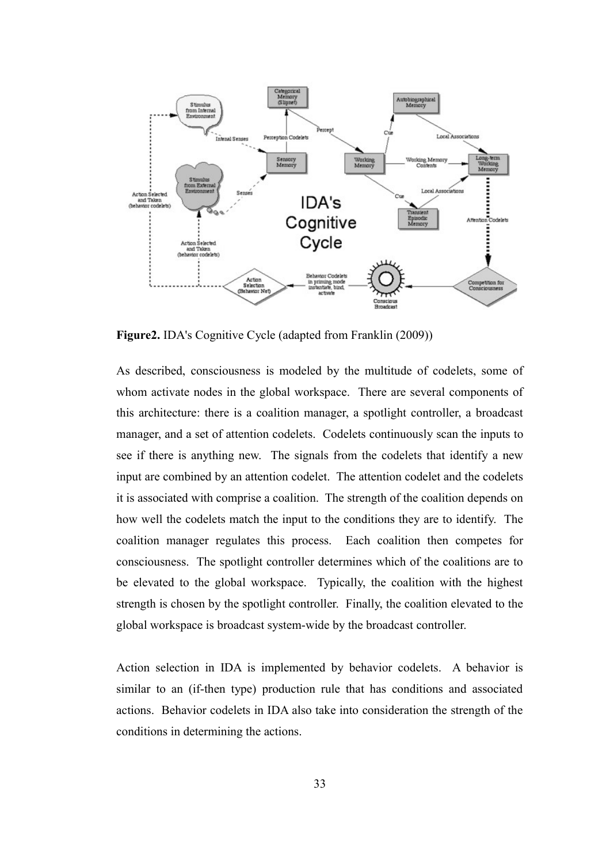

**Figure2.** IDA's Cognitive Cycle (adapted from Franklin (2009))

As described, consciousness is modeled by the multitude of codelets, some of whom activate nodes in the global workspace. There are several components of this architecture: there is a coalition manager, a spotlight controller, a broadcast manager, and a set of attention codelets. Codelets continuously scan the inputs to see if there is anything new. The signals from the codelets that identify a new input are combined by an attention codelet. The attention codelet and the codelets it is associated with comprise a coalition. The strength of the coalition depends on how well the codelets match the input to the conditions they are to identify. The coalition manager regulates this process. Each coalition then competes for consciousness. The spotlight controller determines which of the coalitions are to be elevated to the global workspace. Typically, the coalition with the highest strength is chosen by the spotlight controller. Finally, the coalition elevated to the global workspace is broadcast system-wide by the broadcast controller.

Action selection in IDA is implemented by behavior codelets. A behavior is similar to an (if-then type) production rule that has conditions and associated actions. Behavior codelets in IDA also take into consideration the strength of the conditions in determining the actions.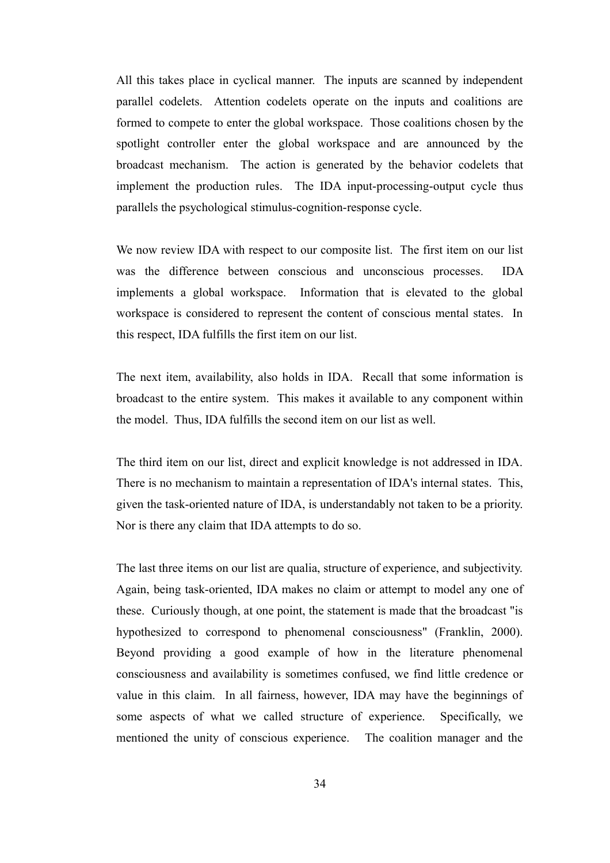All this takes place in cyclical manner. The inputs are scanned by independent parallel codelets. Attention codelets operate on the inputs and coalitions are formed to compete to enter the global workspace. Those coalitions chosen by the spotlight controller enter the global workspace and are announced by the broadcast mechanism. The action is generated by the behavior codelets that implement the production rules. The IDA input-processing-output cycle thus parallels the psychological stimulus-cognition-response cycle.

We now review IDA with respect to our composite list. The first item on our list was the difference between conscious and unconscious processes. IDA implements a global workspace. Information that is elevated to the global workspace is considered to represent the content of conscious mental states. In this respect, IDA fulfills the first item on our list.

The next item, availability, also holds in IDA. Recall that some information is broadcast to the entire system. This makes it available to any component within the model. Thus, IDA fulfills the second item on our list as well.

The third item on our list, direct and explicit knowledge is not addressed in IDA. There is no mechanism to maintain a representation of IDA's internal states. This, given the task-oriented nature of IDA, is understandably not taken to be a priority. Nor is there any claim that IDA attempts to do so.

The last three items on our list are qualia, structure of experience, and subjectivity. Again, being task-oriented, IDA makes no claim or attempt to model any one of these. Curiously though, at one point, the statement is made that the broadcast "is hypothesized to correspond to phenomenal consciousness" (Franklin, 2000). Beyond providing a good example of how in the literature phenomenal consciousness and availability is sometimes confused, we find little credence or value in this claim. In all fairness, however, IDA may have the beginnings of some aspects of what we called structure of experience. Specifically, we mentioned the unity of conscious experience. The coalition manager and the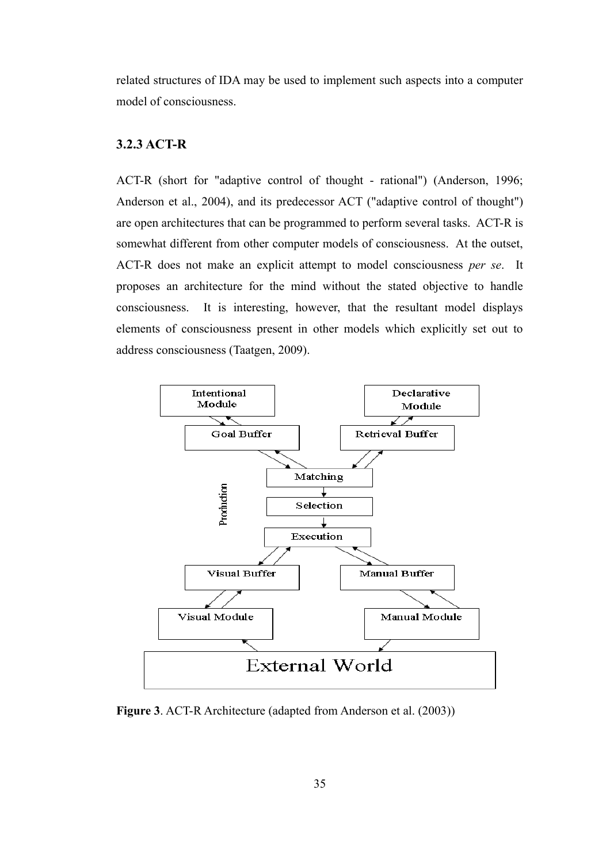related structures of IDA may be used to implement such aspects into a computer model of consciousness.

### **3.2.3 ACT-R**

ACT-R (short for "adaptive control of thought - rational") (Anderson, 1996; Anderson et al., 2004), and its predecessor ACT ("adaptive control of thought") are open architectures that can be programmed to perform several tasks. ACT-R is somewhat different from other computer models of consciousness. At the outset, ACT-R does not make an explicit attempt to model consciousness *per se*. It proposes an architecture for the mind without the stated objective to handle consciousness. It is interesting, however, that the resultant model displays elements of consciousness present in other models which explicitly set out to address consciousness (Taatgen, 2009).



**Figure 3**. ACT-R Architecture (adapted from Anderson et al. (2003))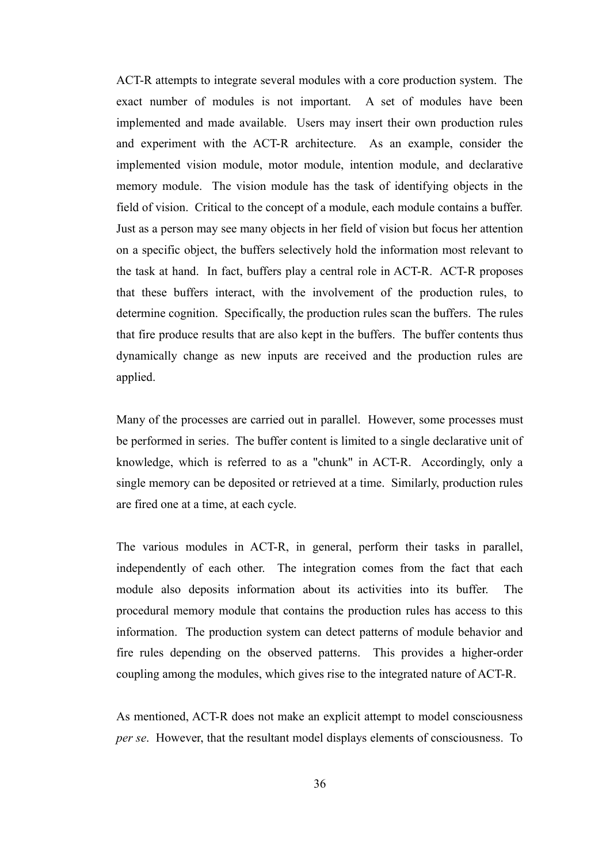ACT-R attempts to integrate several modules with a core production system. The exact number of modules is not important. A set of modules have been implemented and made available. Users may insert their own production rules and experiment with the ACT-R architecture. As an example, consider the implemented vision module, motor module, intention module, and declarative memory module. The vision module has the task of identifying objects in the field of vision. Critical to the concept of a module, each module contains a buffer. Just as a person may see many objects in her field of vision but focus her attention on a specific object, the buffers selectively hold the information most relevant to the task at hand. In fact, buffers play a central role in ACT-R. ACT-R proposes that these buffers interact, with the involvement of the production rules, to determine cognition. Specifically, the production rules scan the buffers. The rules that fire produce results that are also kept in the buffers. The buffer contents thus dynamically change as new inputs are received and the production rules are applied.

Many of the processes are carried out in parallel. However, some processes must be performed in series. The buffer content is limited to a single declarative unit of knowledge, which is referred to as a "chunk" in ACT-R. Accordingly, only a single memory can be deposited or retrieved at a time. Similarly, production rules are fired one at a time, at each cycle.

The various modules in ACT-R, in general, perform their tasks in parallel, independently of each other. The integration comes from the fact that each module also deposits information about its activities into its buffer. The procedural memory module that contains the production rules has access to this information. The production system can detect patterns of module behavior and fire rules depending on the observed patterns. This provides a higher-order coupling among the modules, which gives rise to the integrated nature of ACT-R.

As mentioned, ACT-R does not make an explicit attempt to model consciousness *per se*. However, that the resultant model displays elements of consciousness. To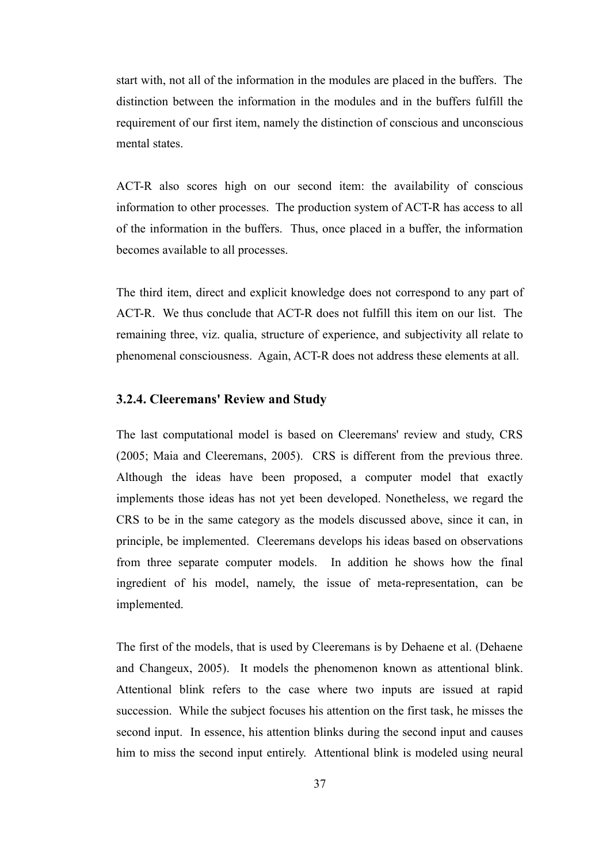start with, not all of the information in the modules are placed in the buffers. The distinction between the information in the modules and in the buffers fulfill the requirement of our first item, namely the distinction of conscious and unconscious mental states.

ACT-R also scores high on our second item: the availability of conscious information to other processes. The production system of ACT-R has access to all of the information in the buffers. Thus, once placed in a buffer, the information becomes available to all processes.

The third item, direct and explicit knowledge does not correspond to any part of ACT-R. We thus conclude that ACT-R does not fulfill this item on our list. The remaining three, viz. qualia, structure of experience, and subjectivity all relate to phenomenal consciousness. Again, ACT-R does not address these elements at all.

#### **3.2.4. Cleeremans' Review and Study**

The last computational model is based on Cleeremans' review and study, CRS (2005; Maia and Cleeremans, 2005). CRS is different from the previous three. Although the ideas have been proposed, a computer model that exactly implements those ideas has not yet been developed. Nonetheless, we regard the CRS to be in the same category as the models discussed above, since it can, in principle, be implemented. Cleeremans develops his ideas based on observations from three separate computer models. In addition he shows how the final ingredient of his model, namely, the issue of meta-representation, can be implemented.

The first of the models, that is used by Cleeremans is by Dehaene et al. (Dehaene and Changeux, 2005). It models the phenomenon known as attentional blink. Attentional blink refers to the case where two inputs are issued at rapid succession. While the subject focuses his attention on the first task, he misses the second input. In essence, his attention blinks during the second input and causes him to miss the second input entirely. Attentional blink is modeled using neural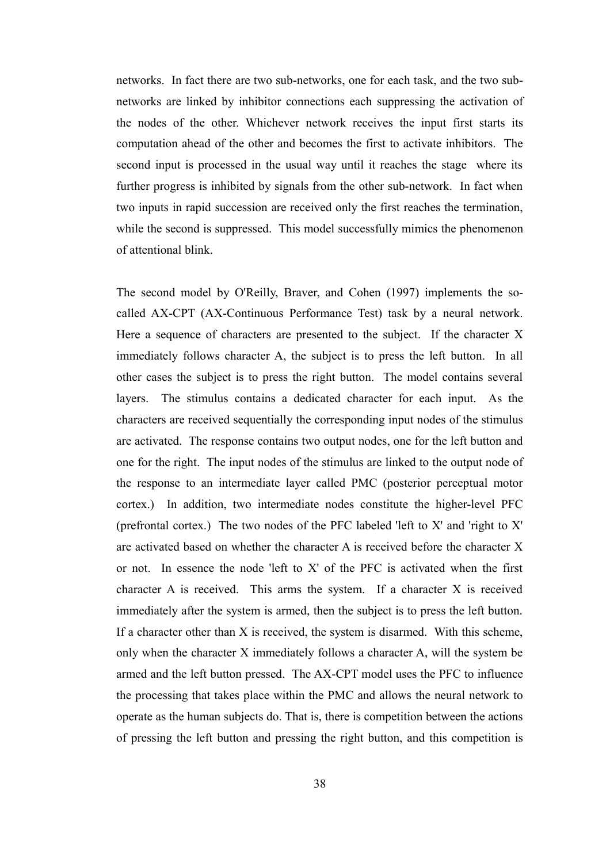networks. In fact there are two sub-networks, one for each task, and the two subnetworks are linked by inhibitor connections each suppressing the activation of the nodes of the other. Whichever network receives the input first starts its computation ahead of the other and becomes the first to activate inhibitors. The second input is processed in the usual way until it reaches the stage where its further progress is inhibited by signals from the other sub-network. In fact when two inputs in rapid succession are received only the first reaches the termination, while the second is suppressed. This model successfully mimics the phenomenon of attentional blink.

The second model by O'Reilly, Braver, and Cohen (1997) implements the socalled AX-CPT (AX-Continuous Performance Test) task by a neural network. Here a sequence of characters are presented to the subject. If the character X immediately follows character A, the subject is to press the left button. In all other cases the subject is to press the right button. The model contains several layers. The stimulus contains a dedicated character for each input. As the characters are received sequentially the corresponding input nodes of the stimulus are activated. The response contains two output nodes, one for the left button and one for the right. The input nodes of the stimulus are linked to the output node of the response to an intermediate layer called PMC (posterior perceptual motor cortex.) In addition, two intermediate nodes constitute the higher-level PFC (prefrontal cortex.) The two nodes of the PFC labeled 'left to X' and 'right to X' are activated based on whether the character A is received before the character X or not. In essence the node 'left to X' of the PFC is activated when the first character A is received. This arms the system. If a character X is received immediately after the system is armed, then the subject is to press the left button. If a character other than X is received, the system is disarmed. With this scheme, only when the character X immediately follows a character A, will the system be armed and the left button pressed. The AX-CPT model uses the PFC to influence the processing that takes place within the PMC and allows the neural network to operate as the human subjects do. That is, there is competition between the actions of pressing the left button and pressing the right button, and this competition is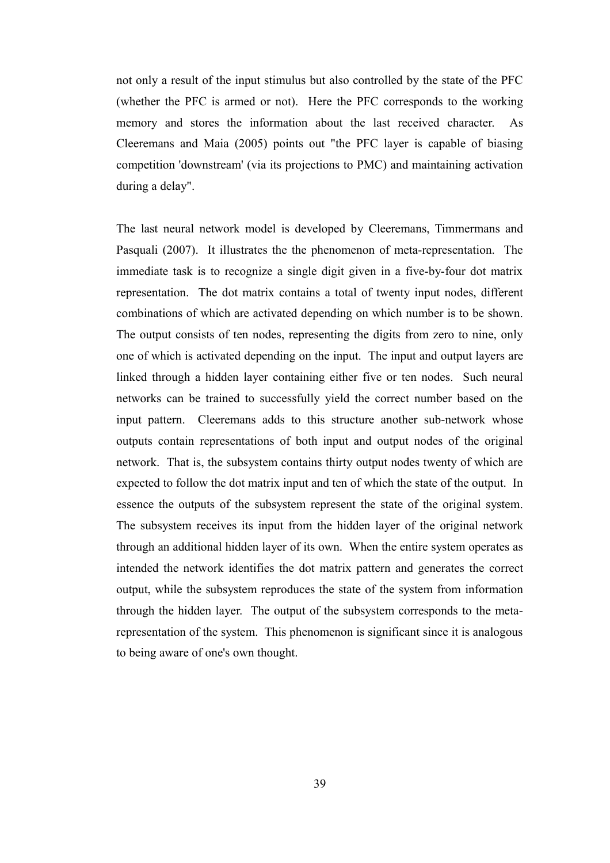not only a result of the input stimulus but also controlled by the state of the PFC (whether the PFC is armed or not). Here the PFC corresponds to the working memory and stores the information about the last received character. As Cleeremans and Maia (2005) points out "the PFC layer is capable of biasing competition 'downstream' (via its projections to PMC) and maintaining activation during a delay".

The last neural network model is developed by Cleeremans, Timmermans and Pasquali (2007). It illustrates the the phenomenon of meta-representation. The immediate task is to recognize a single digit given in a five-by-four dot matrix representation. The dot matrix contains a total of twenty input nodes, different combinations of which are activated depending on which number is to be shown. The output consists of ten nodes, representing the digits from zero to nine, only one of which is activated depending on the input. The input and output layers are linked through a hidden layer containing either five or ten nodes. Such neural networks can be trained to successfully yield the correct number based on the input pattern. Cleeremans adds to this structure another sub-network whose outputs contain representations of both input and output nodes of the original network. That is, the subsystem contains thirty output nodes twenty of which are expected to follow the dot matrix input and ten of which the state of the output. In essence the outputs of the subsystem represent the state of the original system. The subsystem receives its input from the hidden layer of the original network through an additional hidden layer of its own. When the entire system operates as intended the network identifies the dot matrix pattern and generates the correct output, while the subsystem reproduces the state of the system from information through the hidden layer. The output of the subsystem corresponds to the metarepresentation of the system. This phenomenon is significant since it is analogous to being aware of one's own thought.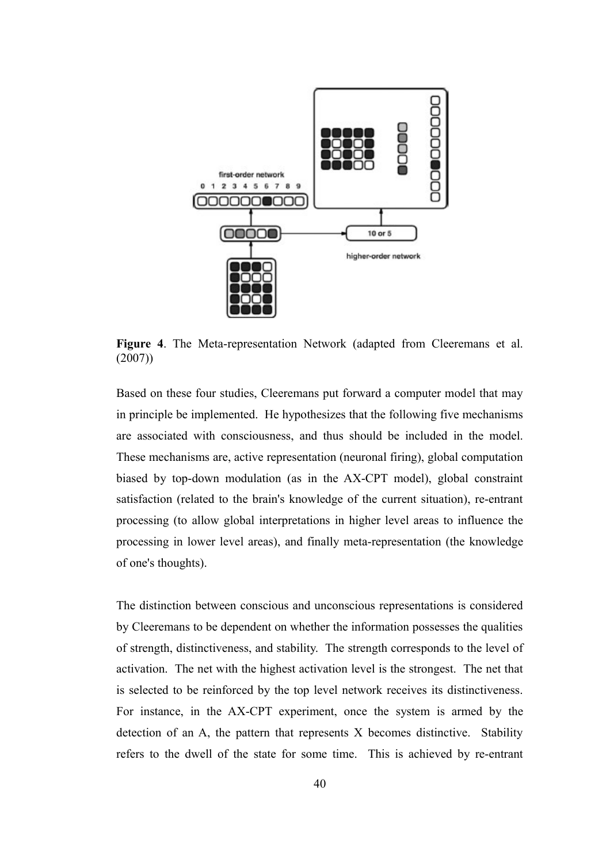

**Figure 4**. The Meta-representation Network (adapted from Cleeremans et al. (2007))

Based on these four studies, Cleeremans put forward a computer model that may in principle be implemented. He hypothesizes that the following five mechanisms are associated with consciousness, and thus should be included in the model. These mechanisms are, active representation (neuronal firing), global computation biased by top-down modulation (as in the AX-CPT model), global constraint satisfaction (related to the brain's knowledge of the current situation), re-entrant processing (to allow global interpretations in higher level areas to influence the processing in lower level areas), and finally meta-representation (the knowledge of one's thoughts).

The distinction between conscious and unconscious representations is considered by Cleeremans to be dependent on whether the information possesses the qualities of strength, distinctiveness, and stability. The strength corresponds to the level of activation. The net with the highest activation level is the strongest. The net that is selected to be reinforced by the top level network receives its distinctiveness. For instance, in the AX-CPT experiment, once the system is armed by the detection of an A, the pattern that represents X becomes distinctive. Stability refers to the dwell of the state for some time. This is achieved by re-entrant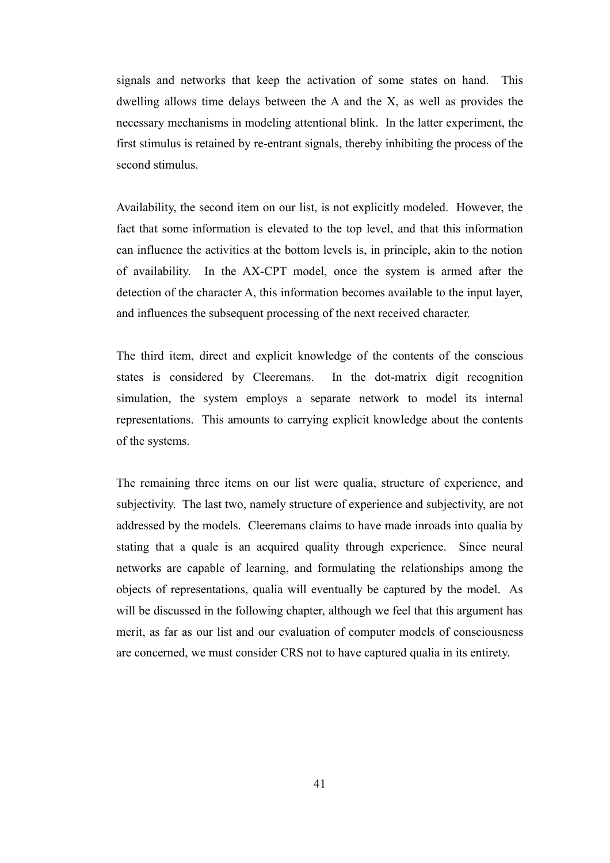signals and networks that keep the activation of some states on hand. This dwelling allows time delays between the A and the X, as well as provides the necessary mechanisms in modeling attentional blink. In the latter experiment, the first stimulus is retained by re-entrant signals, thereby inhibiting the process of the second stimulus.

Availability, the second item on our list, is not explicitly modeled. However, the fact that some information is elevated to the top level, and that this information can influence the activities at the bottom levels is, in principle, akin to the notion of availability. In the AX-CPT model, once the system is armed after the detection of the character A, this information becomes available to the input layer, and influences the subsequent processing of the next received character.

The third item, direct and explicit knowledge of the contents of the conscious states is considered by Cleeremans. In the dot-matrix digit recognition simulation, the system employs a separate network to model its internal representations. This amounts to carrying explicit knowledge about the contents of the systems.

The remaining three items on our list were qualia, structure of experience, and subjectivity. The last two, namely structure of experience and subjectivity, are not addressed by the models. Cleeremans claims to have made inroads into qualia by stating that a quale is an acquired quality through experience. Since neural networks are capable of learning, and formulating the relationships among the objects of representations, qualia will eventually be captured by the model. As will be discussed in the following chapter, although we feel that this argument has merit, as far as our list and our evaluation of computer models of consciousness are concerned, we must consider CRS not to have captured qualia in its entirety.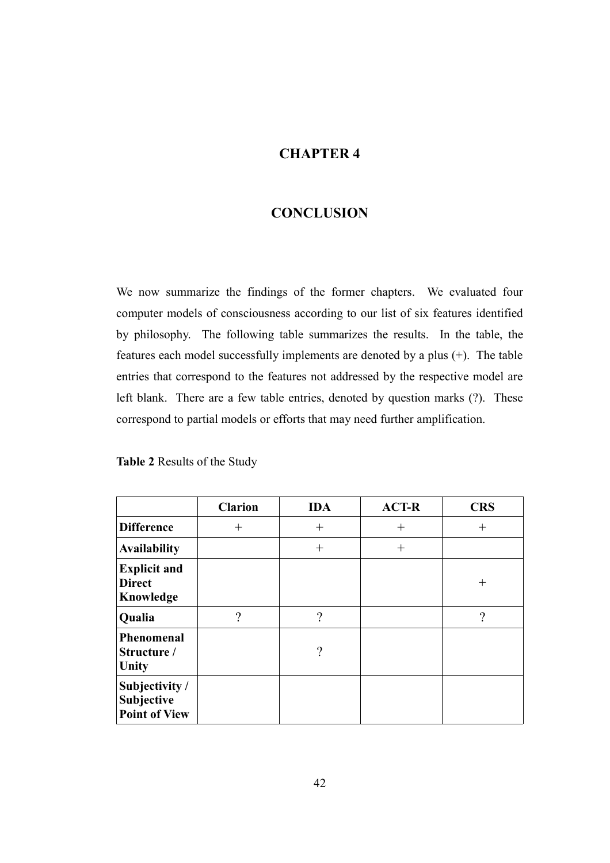## **CHAPTER 4**

### **CONCLUSION**

We now summarize the findings of the former chapters. We evaluated four computer models of consciousness according to our list of six features identified by philosophy. The following table summarizes the results. In the table, the features each model successfully implements are denoted by a plus (+). The table entries that correspond to the features not addressed by the respective model are left blank. There are a few table entries, denoted by question marks (?). These correspond to partial models or efforts that may need further amplification.

**Table 2** Results of the Study

|                                                      | <b>Clarion</b> | <b>IDA</b> | <b>ACT-R</b> | <b>CRS</b>    |
|------------------------------------------------------|----------------|------------|--------------|---------------|
| <b>Difference</b>                                    | $^{+}$         | $^{+}$     | $^{+}$       | $^{+}$        |
| <b>Availability</b>                                  |                | $^{+}$     | $^{+}$       |               |
| <b>Explicit and</b><br><b>Direct</b><br>Knowledge    |                |            |              | $^{+}$        |
| Qualia                                               | $\gamma$       | $\gamma$   |              | $\mathcal{P}$ |
| Phenomenal<br>Structure /<br>Unity                   |                | $\gamma$   |              |               |
| Subjectivity /<br>Subjective<br><b>Point of View</b> |                |            |              |               |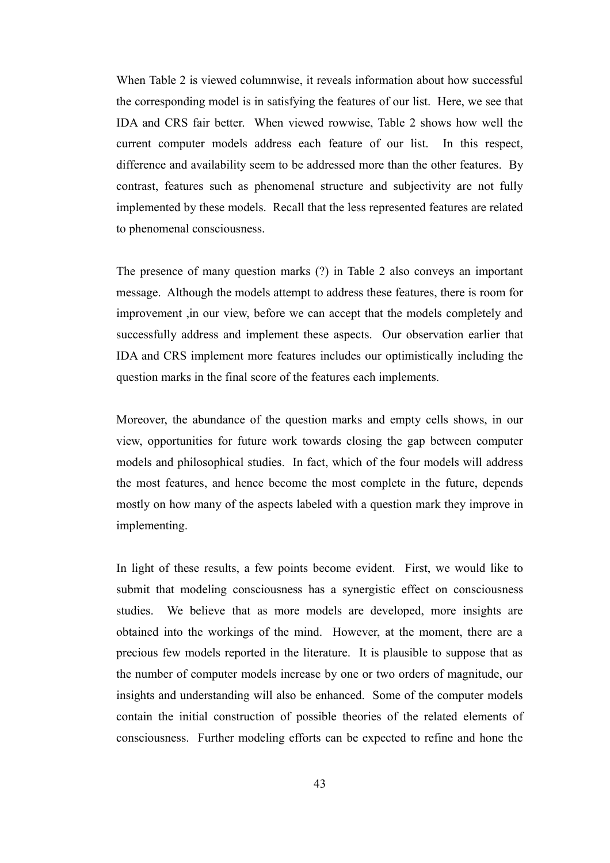When Table 2 is viewed columnwise, it reveals information about how successful the corresponding model is in satisfying the features of our list. Here, we see that IDA and CRS fair better. When viewed rowwise, Table 2 shows how well the current computer models address each feature of our list. In this respect, difference and availability seem to be addressed more than the other features. By contrast, features such as phenomenal structure and subjectivity are not fully implemented by these models. Recall that the less represented features are related to phenomenal consciousness.

The presence of many question marks (?) in Table 2 also conveys an important message. Although the models attempt to address these features, there is room for improvement ,in our view, before we can accept that the models completely and successfully address and implement these aspects. Our observation earlier that IDA and CRS implement more features includes our optimistically including the question marks in the final score of the features each implements.

Moreover, the abundance of the question marks and empty cells shows, in our view, opportunities for future work towards closing the gap between computer models and philosophical studies. In fact, which of the four models will address the most features, and hence become the most complete in the future, depends mostly on how many of the aspects labeled with a question mark they improve in implementing.

In light of these results, a few points become evident. First, we would like to submit that modeling consciousness has a synergistic effect on consciousness studies. We believe that as more models are developed, more insights are obtained into the workings of the mind. However, at the moment, there are a precious few models reported in the literature. It is plausible to suppose that as the number of computer models increase by one or two orders of magnitude, our insights and understanding will also be enhanced. Some of the computer models contain the initial construction of possible theories of the related elements of consciousness. Further modeling efforts can be expected to refine and hone the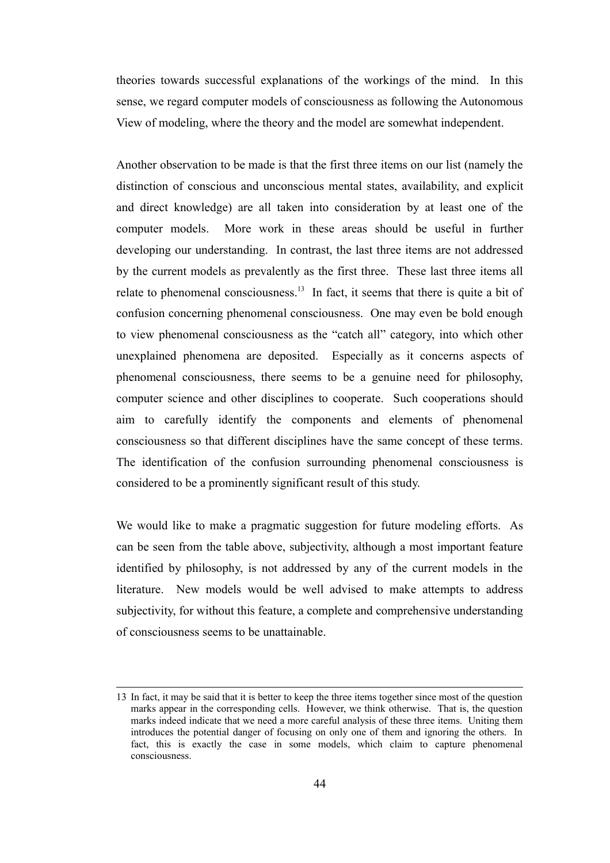theories towards successful explanations of the workings of the mind. In this sense, we regard computer models of consciousness as following the Autonomous View of modeling, where the theory and the model are somewhat independent.

Another observation to be made is that the first three items on our list (namely the distinction of conscious and unconscious mental states, availability, and explicit and direct knowledge) are all taken into consideration by at least one of the computer models. More work in these areas should be useful in further developing our understanding. In contrast, the last three items are not addressed by the current models as prevalently as the first three. These last three items all relate to phenomenal consciousness.<sup>[13](#page-53-0)</sup> In fact, it seems that there is quite a bit of confusion concerning phenomenal consciousness. One may even be bold enough to view phenomenal consciousness as the "catch all" category, into which other unexplained phenomena are deposited. Especially as it concerns aspects of phenomenal consciousness, there seems to be a genuine need for philosophy, computer science and other disciplines to cooperate. Such cooperations should aim to carefully identify the components and elements of phenomenal consciousness so that different disciplines have the same concept of these terms. The identification of the confusion surrounding phenomenal consciousness is considered to be a prominently significant result of this study.

We would like to make a pragmatic suggestion for future modeling efforts. As can be seen from the table above, subjectivity, although a most important feature identified by philosophy, is not addressed by any of the current models in the literature. New models would be well advised to make attempts to address subjectivity, for without this feature, a complete and comprehensive understanding of consciousness seems to be unattainable.

<span id="page-53-0"></span><sup>13</sup> In fact, it may be said that it is better to keep the three items together since most of the question marks appear in the corresponding cells. However, we think otherwise. That is, the question marks indeed indicate that we need a more careful analysis of these three items. Uniting them introduces the potential danger of focusing on only one of them and ignoring the others. In fact, this is exactly the case in some models, which claim to capture phenomenal consciousness.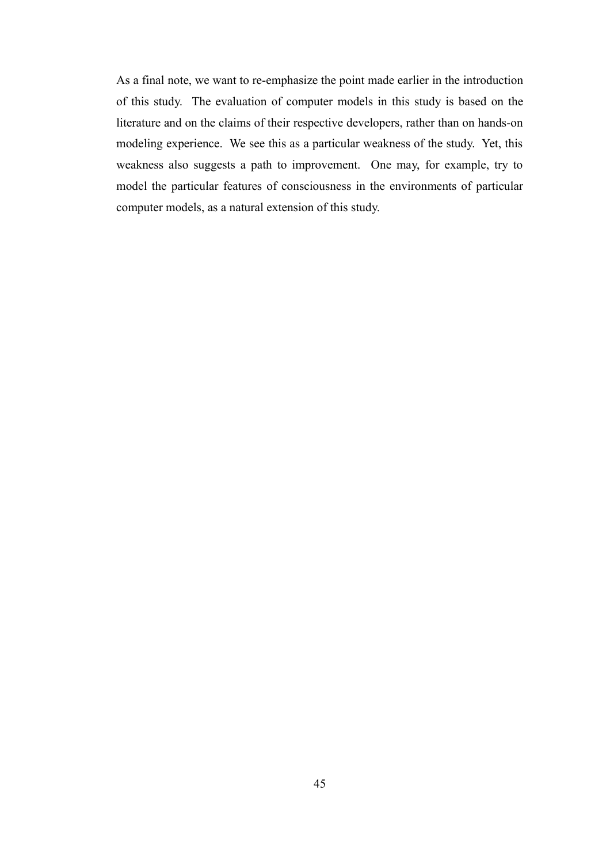As a final note, we want to re-emphasize the point made earlier in the introduction of this study. The evaluation of computer models in this study is based on the literature and on the claims of their respective developers, rather than on hands-on modeling experience. We see this as a particular weakness of the study. Yet, this weakness also suggests a path to improvement. One may, for example, try to model the particular features of consciousness in the environments of particular computer models, as a natural extension of this study.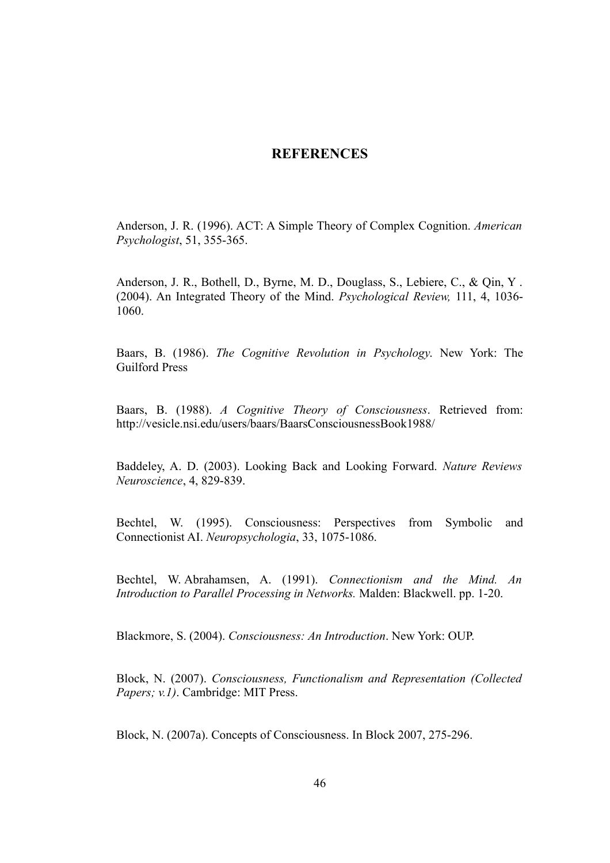### **REFERENCES**

Anderson, J. R. (1996). ACT: A Simple Theory of Complex Cognition. *American Psychologist*, 51, 355-365.

Anderson, J. R., Bothell, D., Byrne, M. D., Douglass, S., Lebiere, C., & Qin, Y . (2004). An Integrated Theory of the Mind. *Psychological Review,* 111, 4, 1036- 1060.

Baars, B. (1986). *The Cognitive Revolution in Psychology*. New York: The Guilford Press

Baars, B. (1988). *A Cognitive Theory of Consciousness*. Retrieved from: http://vesicle.nsi.edu/users/baars/BaarsConsciousnessBook1988/

Baddeley, A. D. (2003). Looking Back and Looking Forward. *Nature Reviews Neuroscience*, 4, 829-839.

Bechtel, W. (1995). Consciousness: Perspectives from Symbolic and Connectionist AI. *Neuropsychologia*, 33, 1075-1086.

Bechtel, W. Abrahamsen, A. (1991). *Connectionism and the Mind. An Introduction to Parallel Processing in Networks.* Malden: Blackwell. pp. 1-20.

Blackmore, S. (2004). *Consciousness: An Introduction*. New York: OUP.

Block, N. (2007). *Consciousness, Functionalism and Representation (Collected Papers; v.1)*. Cambridge: MIT Press.

Block, N. (2007a). Concepts of Consciousness. In Block 2007, 275-296.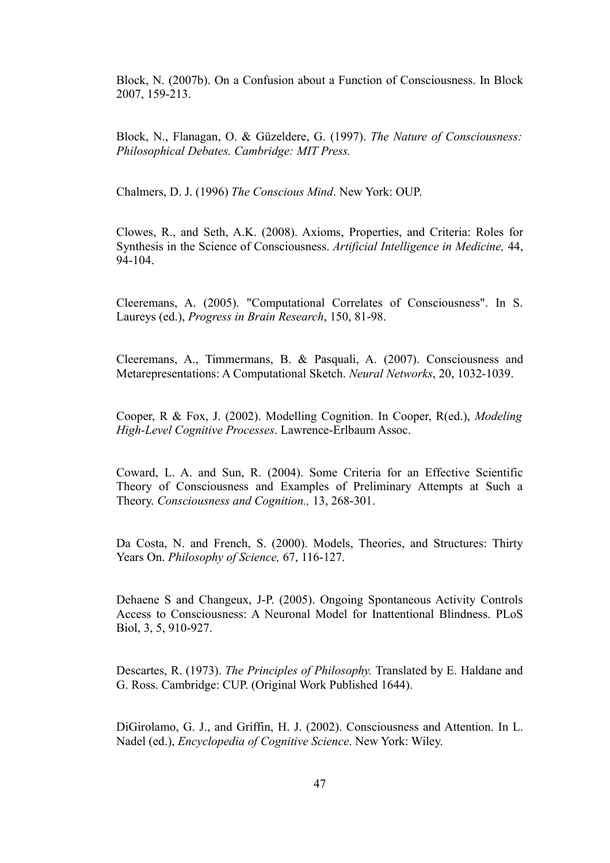Block, N. (2007b). On a Confusion about a Function of Consciousness. In Block 2007, 159-213.

Block, N., Flanagan, O. & Güzeldere, G. (1997). *The Nature of Consciousness: Philosophical Debates. Cambridge: MIT Press.*

Chalmers, D. J. (1996) *The Conscious Mind*. New York: OUP.

Clowes, R., and Seth, A.K. (2008). Axioms, Properties, and Criteria: Roles for Synthesis in the Science of Consciousness. *Artificial Intelligence in Medicine,* 44, 94-104.

Cleeremans, A. (2005). "Computational Correlates of Consciousness". In S. Laureys (ed.), *Progress in Brain Research*, 150, 81-98.

Cleeremans, A., Timmermans, B. & Pasquali, A. (2007). Consciousness and Metarepresentations: A Computational Sketch. *Neural Networks*, 20, 1032-1039.

Cooper, R & Fox, J. (2002). Modelling Cognition. In Cooper, R(ed.), *Modeling High-Level Cognitive Processes*. Lawrence-Erlbaum Assoc.

Coward, L. A. and Sun, R. (2004). Some Criteria for an Effective Scientific Theory of Consciousness and Examples of Preliminary Attempts at Such a Theory. *Consciousness and Cognition.,* 13, 268-301.

Da Costa, N. and French, S. (2000). Models, Theories, and Structures: Thirty Years On. *Philosophy of Science,* 67, 116-127.

Dehaene S and Changeux, J-P. (2005). Ongoing Spontaneous Activity Controls Access to Consciousness: A Neuronal Model for Inattentional Blindness. PLoS Biol, 3, 5, 910-927.

Descartes, R. (1973). *The Principles of Philosophy.* Translated by E. Haldane and G. Ross. Cambridge: CUP. (Original Work Published 1644).

DiGirolamo, G. J., and Griffin, H. J. (2002). Consciousness and Attention. In L. Nadel (ed.), *Encyclopedia of Cognitive Science*. New York: Wiley.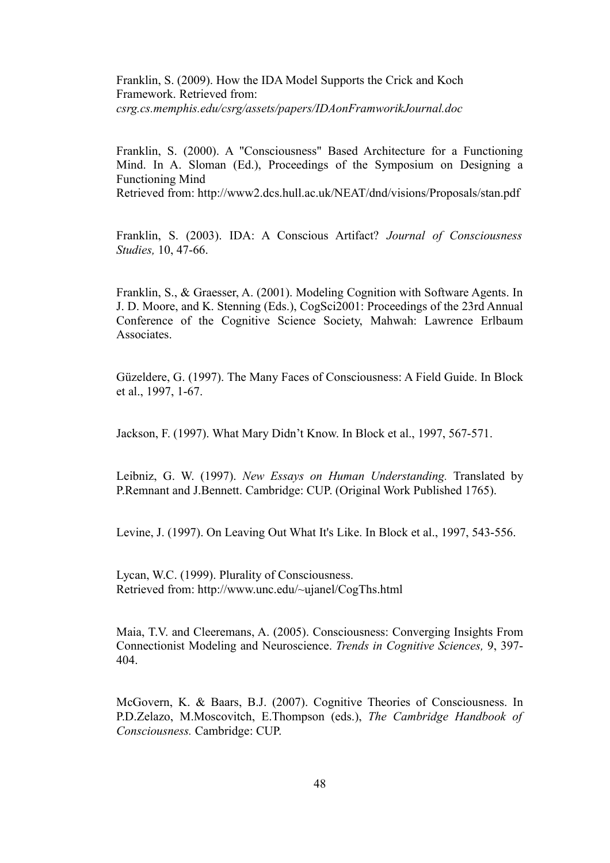Franklin, S. (2009). How the IDA Model Supports the Crick and Koch Framework. Retrieved from: *csrg.cs.memphis.edu/csrg/assets/papers/IDAonFramworikJournal.doc*

Franklin, S. (2000). A "Consciousness" Based Architecture for a Functioning Mind. In A. Sloman (Ed.), Proceedings of the Symposium on Designing a Functioning Mind

Retrieved from: http://www2.dcs.hull.ac.uk/NEAT/dnd/visions/Proposals/stan.pdf

Franklin, S. (2003). IDA: A Conscious Artifact? *Journal of Consciousness Studies,* 10, 47-66.

Franklin, S., & Graesser, A. (2001). Modeling Cognition with Software Agents. In J. D. Moore, and K. Stenning (Eds.), CogSci2001: Proceedings of the 23rd Annual Conference of the Cognitive Science Society, Mahwah: Lawrence Erlbaum **Associates** 

Güzeldere, G. (1997). The Many Faces of Consciousness: A Field Guide. In Block et al., 1997, 1-67.

Jackson, F. (1997). What Mary Didn't Know. In Block et al., 1997, 567-571.

Leibniz, G. W. (1997). *New Essays on Human Understanding.* Translated by P.Remnant and J.Bennett. Cambridge: CUP. (Original Work Published 1765).

Levine, J. (1997). On Leaving Out What It's Like. In Block et al., 1997, 543-556.

Lycan, W.C. (1999). Plurality of Consciousness. Retrieved from: http://www.unc.edu/~ujanel/CogThs.html

Maia, T.V. and Cleeremans, A. (2005). Consciousness: Converging Insights From Connectionist Modeling and Neuroscience. *Trends in Cognitive Sciences,* 9, 397- 404.

McGovern, K. & Baars, B.J. (2007). Cognitive Theories of Consciousness. In P.D.Zelazo, M.Moscovitch, E.Thompson (eds.), *The Cambridge Handbook of Consciousness.* Cambridge: CUP.